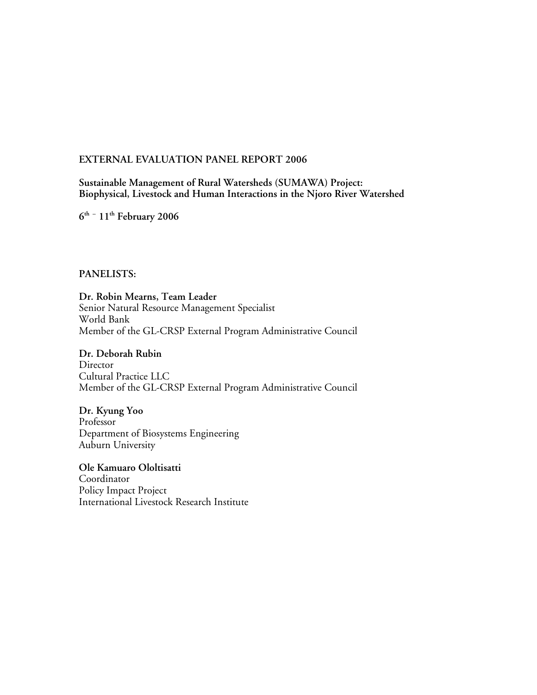## **EXTERNAL EVALUATION PANEL REPORT 2006**

## **Sustainable Management of Rural Watersheds (SUMAWA) Project: Biophysical, Livestock and Human Interactions in the Njoro River Watershed**

**6th – 11th February 2006**

#### **PANELISTS:**

**Dr. Robin Mearns, Team Leader** Senior Natural Resource Management Specialist World Bank Member of the GL-CRSP External Program Administrative Council

## **Dr. Deborah Rubin**

**Director** Cultural Practice LLC Member of the GL-CRSP External Program Administrative Council

#### **Dr. Kyung Yoo**

Professor Department of Biosystems Engineering Auburn University

# **Ole Kamuaro Ololtisatti**

Coordinator Policy Impact Project International Livestock Research Institute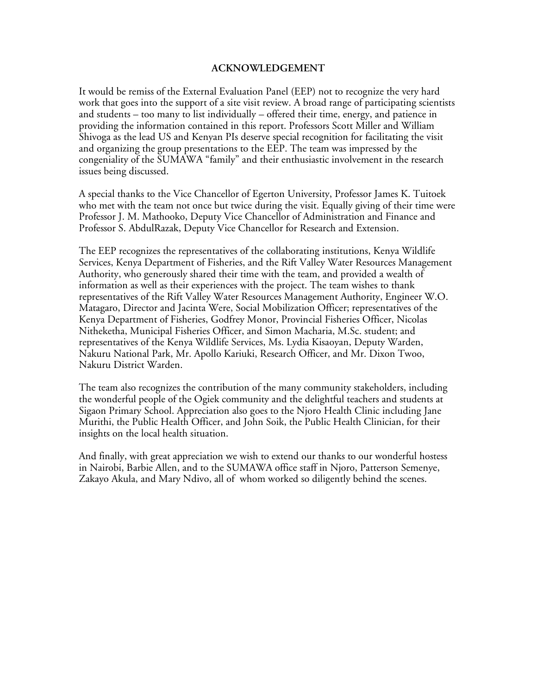#### **ACKNOWLEDGEMENT**

It would be remiss of the External Evaluation Panel (EEP) not to recognize the very hard work that goes into the support of a site visit review. A broad range of participating scientists and students – too many to list individually – offered their time, energy, and patience in providing the information contained in this report. Professors Scott Miller and William Shivoga as the lead US and Kenyan PIs deserve special recognition for facilitating the visit and organizing the group presentations to the EEP. The team was impressed by the congeniality of the SUMAWA "family" and their enthusiastic involvement in the research issues being discussed.

A special thanks to the Vice Chancellor of Egerton University, Professor James K. Tuitoek who met with the team not once but twice during the visit. Equally giving of their time were Professor J. M. Mathooko, Deputy Vice Chancellor of Administration and Finance and Professor S. AbdulRazak, Deputy Vice Chancellor for Research and Extension.

The EEP recognizes the representatives of the collaborating institutions, Kenya Wildlife Services, Kenya Department of Fisheries, and the Rift Valley Water Resources Management Authority, who generously shared their time with the team, and provided a wealth of information as well as their experiences with the project. The team wishes to thank representatives of the Rift Valley Water Resources Management Authority, Engineer W.O. Matagaro, Director and Jacinta Were, Social Mobilization Officer; representatives of the Kenya Department of Fisheries, Godfrey Monor, Provincial Fisheries Officer, Nicolas Nitheketha, Municipal Fisheries Officer, and Simon Macharia, M.Sc. student; and representatives of the Kenya Wildlife Services, Ms. Lydia Kisaoyan, Deputy Warden, Nakuru National Park, Mr. Apollo Kariuki, Research Officer, and Mr. Dixon Twoo, Nakuru District Warden.

The team also recognizes the contribution of the many community stakeholders, including the wonderful people of the Ogiek community and the delightful teachers and students at Sigaon Primary School. Appreciation also goes to the Njoro Health Clinic including Jane Murithi, the Public Health Officer, and John Soik, the Public Health Clinician, for their insights on the local health situation.

And finally, with great appreciation we wish to extend our thanks to our wonderful hostess in Nairobi, Barbie Allen, and to the SUMAWA office staff in Njoro, Patterson Semenye, Zakayo Akula, and Mary Ndivo, all of whom worked so diligently behind the scenes.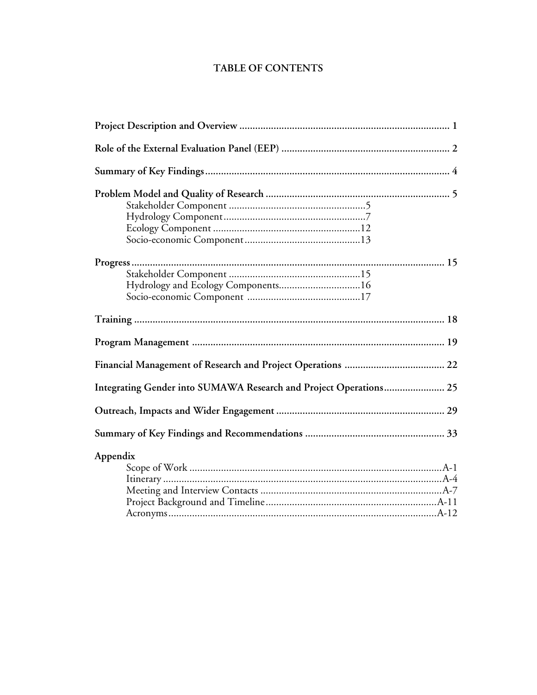# **TABLE OF CONTENTS**

| Integrating Gender into SUMAWA Research and Project Operations 25 |
|-------------------------------------------------------------------|
|                                                                   |
|                                                                   |
| Appendix                                                          |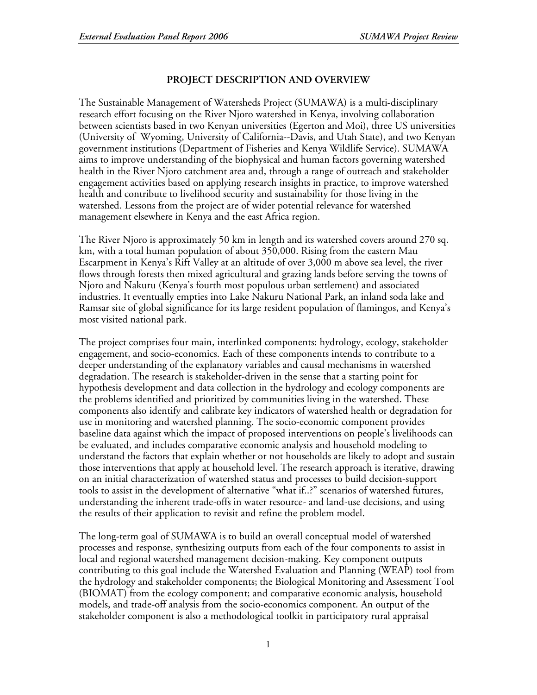# **PROJECT DESCRIPTION AND OVERVIEW**

The Sustainable Management of Watersheds Project (SUMAWA) is a multi-disciplinary research effort focusing on the River Njoro watershed in Kenya, involving collaboration between scientists based in two Kenyan universities (Egerton and Moi), three US universities (University of Wyoming, University of California--Davis, and Utah State), and two Kenyan government institutions (Department of Fisheries and Kenya Wildlife Service). SUMAWA aims to improve understanding of the biophysical and human factors governing watershed health in the River Njoro catchment area and, through a range of outreach and stakeholder engagement activities based on applying research insights in practice, to improve watershed health and contribute to livelihood security and sustainability for those living in the watershed. Lessons from the project are of wider potential relevance for watershed management elsewhere in Kenya and the east Africa region.

The River Njoro is approximately 50 km in length and its watershed covers around 270 sq. km, with a total human population of about 350,000. Rising from the eastern Mau Escarpment in Kenya's Rift Valley at an altitude of over 3,000 m above sea level, the river flows through forests then mixed agricultural and grazing lands before serving the towns of Njoro and Nakuru (Kenya's fourth most populous urban settlement) and associated industries. It eventually empties into Lake Nakuru National Park, an inland soda lake and Ramsar site of global significance for its large resident population of flamingos, and Kenya's most visited national park.

The project comprises four main, interlinked components: hydrology, ecology, stakeholder engagement, and socio-economics. Each of these components intends to contribute to a deeper understanding of the explanatory variables and causal mechanisms in watershed degradation. The research is stakeholder-driven in the sense that a starting point for hypothesis development and data collection in the hydrology and ecology components are the problems identified and prioritized by communities living in the watershed. These components also identify and calibrate key indicators of watershed health or degradation for use in monitoring and watershed planning. The socio-economic component provides baseline data against which the impact of proposed interventions on people's livelihoods can be evaluated, and includes comparative economic analysis and household modeling to understand the factors that explain whether or not households are likely to adopt and sustain those interventions that apply at household level. The research approach is iterative, drawing on an initial characterization of watershed status and processes to build decision-support tools to assist in the development of alternative "what if..?" scenarios of watershed futures, understanding the inherent trade-offs in water resource- and land-use decisions, and using the results of their application to revisit and refine the problem model.

The long-term goal of SUMAWA is to build an overall conceptual model of watershed processes and response, synthesizing outputs from each of the four components to assist in local and regional watershed management decision-making. Key component outputs contributing to this goal include the Watershed Evaluation and Planning (WEAP) tool from the hydrology and stakeholder components; the Biological Monitoring and Assessment Tool (BIOMAT) from the ecology component; and comparative economic analysis, household models, and trade-off analysis from the socio-economics component. An output of the stakeholder component is also a methodological toolkit in participatory rural appraisal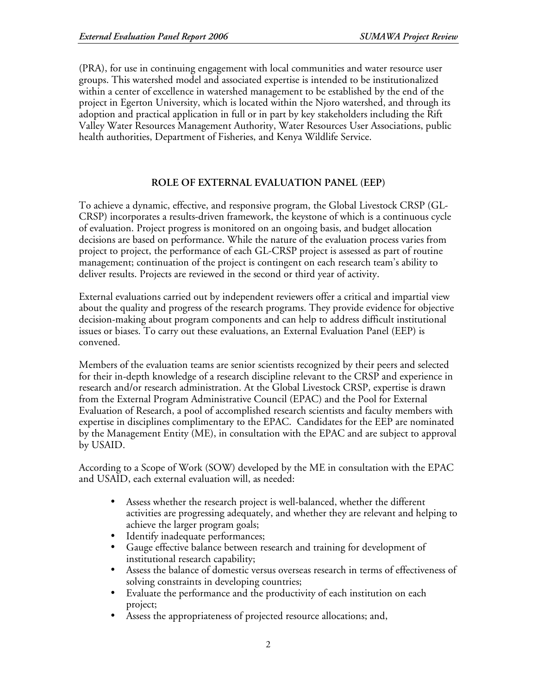(PRA), for use in continuing engagement with local communities and water resource user groups. This watershed model and associated expertise is intended to be institutionalized within a center of excellence in watershed management to be established by the end of the project in Egerton University, which is located within the Njoro watershed, and through its adoption and practical application in full or in part by key stakeholders including the Rift Valley Water Resources Management Authority, Water Resources User Associations, public health authorities, Department of Fisheries, and Kenya Wildlife Service.

# **ROLE OF EXTERNAL EVALUATION PANEL (EEP)**

To achieve a dynamic, effective, and responsive program, the Global Livestock CRSP (GL-CRSP) incorporates a results-driven framework, the keystone of which is a continuous cycle of evaluation. Project progress is monitored on an ongoing basis, and budget allocation decisions are based on performance. While the nature of the evaluation process varies from project to project, the performance of each GL-CRSP project is assessed as part of routine management; continuation of the project is contingent on each research team's ability to deliver results. Projects are reviewed in the second or third year of activity.

External evaluations carried out by independent reviewers offer a critical and impartial view about the quality and progress of the research programs. They provide evidence for objective decision-making about program components and can help to address difficult institutional issues or biases. To carry out these evaluations, an External Evaluation Panel (EEP) is convened.

Members of the evaluation teams are senior scientists recognized by their peers and selected for their in-depth knowledge of a research discipline relevant to the CRSP and experience in research and/or research administration. At the Global Livestock CRSP, expertise is drawn from the External Program Administrative Council (EPAC) and the Pool for External Evaluation of Research, a pool of accomplished research scientists and faculty members with expertise in disciplines complimentary to the EPAC. Candidates for the EEP are nominated by the Management Entity (ME), in consultation with the EPAC and are subject to approval by USAID.

According to a Scope of Work (SOW) developed by the ME in consultation with the EPAC and USAID, each external evaluation will, as needed:

- Assess whether the research project is well-balanced, whether the different activities are progressing adequately, and whether they are relevant and helping to achieve the larger program goals;
- Identify inadequate performances;
- Gauge effective balance between research and training for development of institutional research capability;
- Assess the balance of domestic versus overseas research in terms of effectiveness of solving constraints in developing countries;
- Evaluate the performance and the productivity of each institution on each project;
- Assess the appropriateness of projected resource allocations; and,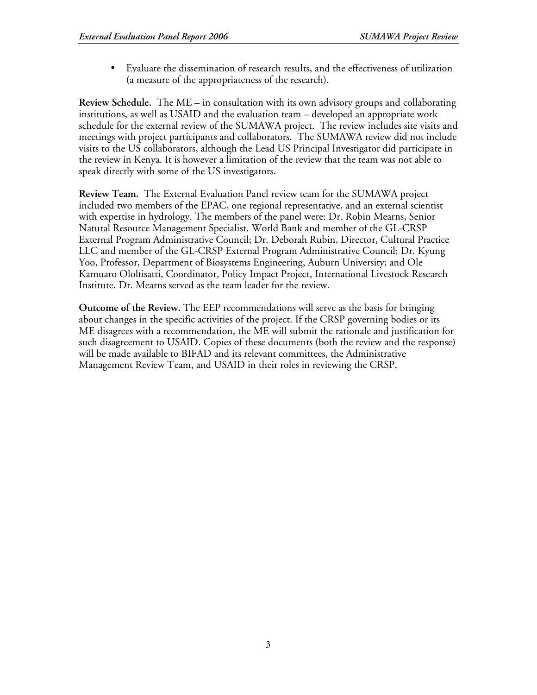• Evaluate the dissemination of research results, and the effectiveness of utilization (a measure of the appropriateness of the research).

**Review Schedule.** The ME – in consultation with its own advisory groups and collaborating institutions, as well as USAID and the evaluation team – developed an appropriate work schedule for the external review of the SUMAWA project. The review includes site visits and meetings with project participants and collaborators. The SUMAWA review did not include visits to the US collaborators, although the Lead US Principal Investigator did participate in the review in Kenya. It is however a limitation of the review that the team was not able to speak directly with some of the US investigators.

**Review Team.** The External Evaluation Panel review team for the SUMAWA project included two members of the EPAC, one regional representative, and an external scientist with expertise in hydrology. The members of the panel were: Dr. Robin Mearns, Senior Natural Resource Management Specialist, World Bank and member of the GL-CRSP External Program Administrative Council; Dr. Deborah Rubin, Director, Cultural Practice LLC and member of the GL-CRSP External Program Administrative Council; Dr. Kyung Yoo, Professor, Department of Biosystems Engineering, Auburn University; and Ole Kamuaro Ololtisatti, Coordinator, Policy Impact Project, International Livestock Research Institute. Dr. Mearns served as the team leader for the review.

**Outcome of the Review.** The EEP recommendations will serve as the basis for bringing about changes in the specific activities of the project. If the CRSP governing bodies or its ME disagrees with a recommendation, the ME will submit the rationale and justification for such disagreement to USAID. Copies of these documents (both the review and the response) will be made available to BIFAD and its relevant committees, the Administrative Management Review Team, and USAID in their roles in reviewing the CRSP.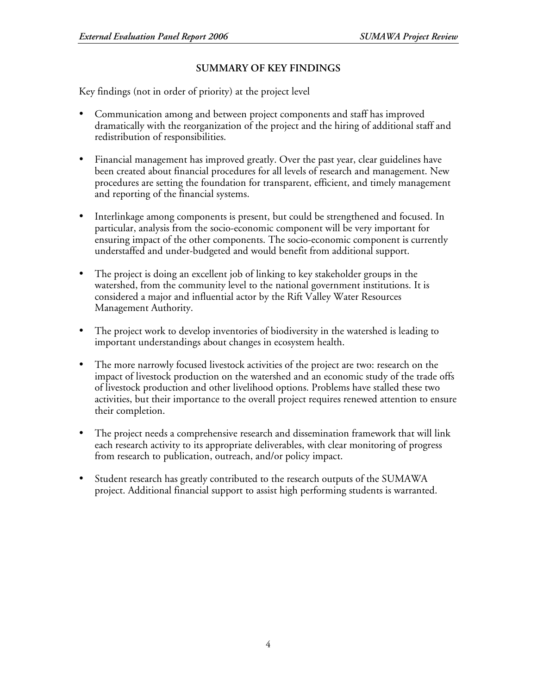# **SUMMARY OF KEY FINDINGS**

Key findings (not in order of priority) at the project level

- Communication among and between project components and staff has improved dramatically with the reorganization of the project and the hiring of additional staff and redistribution of responsibilities.
- Financial management has improved greatly. Over the past year, clear guidelines have been created about financial procedures for all levels of research and management. New procedures are setting the foundation for transparent, efficient, and timely management and reporting of the financial systems.
- Interlinkage among components is present, but could be strengthened and focused. In particular, analysis from the socio-economic component will be very important for ensuring impact of the other components. The socio-economic component is currently understaffed and under-budgeted and would benefit from additional support.
- The project is doing an excellent job of linking to key stakeholder groups in the watershed, from the community level to the national government institutions. It is considered a major and influential actor by the Rift Valley Water Resources Management Authority.
- The project work to develop inventories of biodiversity in the watershed is leading to important understandings about changes in ecosystem health.
- The more narrowly focused livestock activities of the project are two: research on the impact of livestock production on the watershed and an economic study of the trade offs of livestock production and other livelihood options. Problems have stalled these two activities, but their importance to the overall project requires renewed attention to ensure their completion.
- The project needs a comprehensive research and dissemination framework that will link each research activity to its appropriate deliverables, with clear monitoring of progress from research to publication, outreach, and/or policy impact.
- Student research has greatly contributed to the research outputs of the SUMAWA project. Additional financial support to assist high performing students is warranted.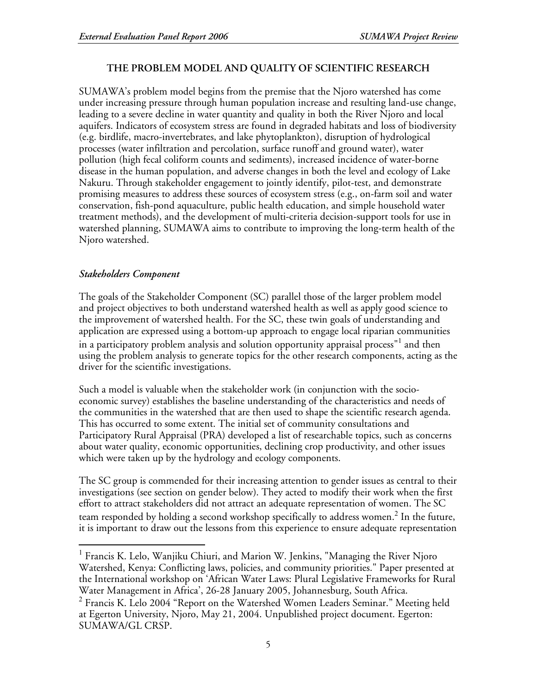# **THE PROBLEM MODEL AND QUALITY OF SCIENTIFIC RESEARCH**

SUMAWA's problem model begins from the premise that the Njoro watershed has come under increasing pressure through human population increase and resulting land-use change, leading to a severe decline in water quantity and quality in both the River Njoro and local aquifers. Indicators of ecosystem stress are found in degraded habitats and loss of biodiversity (e.g. birdlife, macro-invertebrates, and lake phytoplankton), disruption of hydrological processes (water infiltration and percolation, surface runoff and ground water), water pollution (high fecal coliform counts and sediments), increased incidence of water-borne disease in the human population, and adverse changes in both the level and ecology of Lake Nakuru. Through stakeholder engagement to jointly identify, pilot-test, and demonstrate promising measures to address these sources of ecosystem stress (e.g., on-farm soil and water conservation, fish-pond aquaculture, public health education, and simple household water treatment methods), and the development of multi-criteria decision-support tools for use in watershed planning, SUMAWA aims to contribute to improving the long-term health of the Njoro watershed.

## *Stakeholders Component*

The goals of the Stakeholder Component (SC) parallel those of the larger problem model and project objectives to both understand watershed health as well as apply good science to the improvement of watershed health. For the SC, these twin goals of understanding and application are expressed using a bottom-up approach to engage local riparian communities in a participatory problem analysis and solution opportunity appraisal process" $^{\rm l}$  and then using the problem analysis to generate topics for the other research components, acting as the driver for the scientific investigations.

Such a model is valuable when the stakeholder work (in conjunction with the socioeconomic survey) establishes the baseline understanding of the characteristics and needs of the communities in the watershed that are then used to shape the scientific research agenda. This has occurred to some extent. The initial set of community consultations and Participatory Rural Appraisal (PRA) developed a list of researchable topics, such as concerns about water quality, economic opportunities, declining crop productivity, and other issues which were taken up by the hydrology and ecology components.

The SC group is commended for their increasing attention to gender issues as central to their investigations (see section on gender below). They acted to modify their work when the first effort to attract stakeholders did not attract an adequate representation of women. The SC team responded by holding a second workshop specifically to address women. $^2$  In the future, it is important to draw out the lessons from this experience to ensure adequate representation

 <sup>1</sup> Francis K. Lelo, Wanjiku Chiuri, and Marion W. Jenkins, "Managing the River Njoro Watershed, Kenya: Conflicting laws, policies, and community priorities." Paper presented at the International workshop on 'African Water Laws: Plural Legislative Frameworks for Rural Water Management in Africa', 26-28 January 2005, Johannesburg, South Africa. <sup>2</sup>

 $2$  Francis K. Lelo 2004 "Report on the Watershed Women Leaders Seminar." Meeting held at Egerton University, Njoro, May 21, 2004. Unpublished project document. Egerton: SUMAWA/GL CRSP.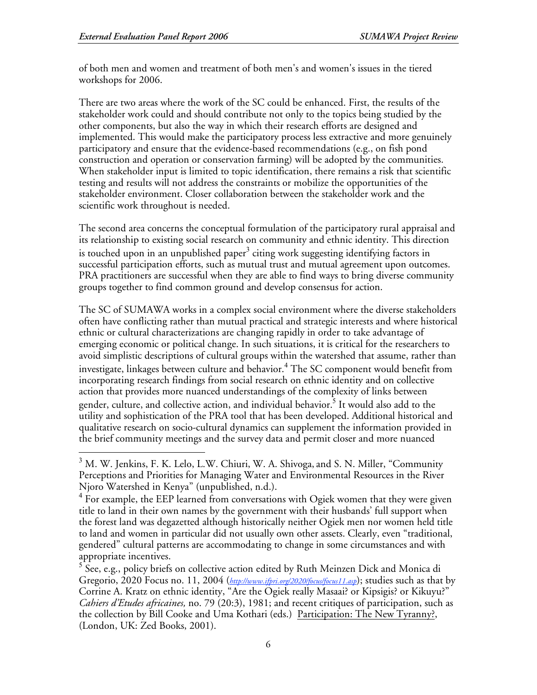of both men and women and treatment of both men's and women's issues in the tiered workshops for 2006.

There are two areas where the work of the SC could be enhanced. First, the results of the stakeholder work could and should contribute not only to the topics being studied by the other components, but also the way in which their research efforts are designed and implemented. This would make the participatory process less extractive and more genuinely participatory and ensure that the evidence-based recommendations (e.g., on fish pond construction and operation or conservation farming) will be adopted by the communities. When stakeholder input is limited to topic identification, there remains a risk that scientific testing and results will not address the constraints or mobilize the opportunities of the stakeholder environment. Closer collaboration between the stakeholder work and the scientific work throughout is needed.

The second area concerns the conceptual formulation of the participatory rural appraisal and its relationship to existing social research on community and ethnic identity. This direction is touched upon in an unpublished paper $^3$  citing work suggesting identifying factors in successful participation efforts, such as mutual trust and mutual agreement upon outcomes. PRA practitioners are successful when they are able to find ways to bring diverse community groups together to find common ground and develop consensus for action.

The SC of SUMAWA works in a complex social environment where the diverse stakeholders often have conflicting rather than mutual practical and strategic interests and where historical ethnic or cultural characterizations are changing rapidly in order to take advantage of emerging economic or political change. In such situations, it is critical for the researchers to avoid simplistic descriptions of cultural groups within the watershed that assume, rather than investigate, linkages between culture and behavior. 4 The SC component would benefit from incorporating research findings from social research on ethnic identity and on collective action that provides more nuanced understandings of the complexity of links between gender, culture, and collective action, and individual behavior.<sup>5</sup> It would also add to the utility and sophistication of the PRA tool that has been developed. Additional historical and qualitative research on socio-cultural dynamics can supplement the information provided in the brief community meetings and the survey data and permit closer and more nuanced

<sup>&</sup>lt;sup>3</sup> M. W. Jenkins, F. K. Lelo, L.W. Chiuri, W. A. Shivoga, and S. N. Miller, "Community Perceptions and Priorities for Managing Water and Environmental Resources in the River Njoro Watershed in Kenya" (unpublished, n.d.). <sup>4</sup>

 $4.5$  For example, the EEP learned from conversations with Ogiek women that they were given title to land in their own names by the government with their husbands' full support when the forest land was degazetted although historically neither Ogiek men nor women held title to land and women in particular did not usually own other assets. Clearly, even "traditional, gendered" cultural patterns are accommodating to change in some circumstances and with appropriate incentives.

 $5^{11}$ . e.g., policy briefs on collective action edited by Ruth Meinzen Dick and Monica di Gregorio, 2020 Focus no. 11, 2004 (*http://www.ifpri.org/2020/focus/focus11.asp*); studies such as that by Corrine A. Kratz on ethnic identity, "Are the Ogiek really Masaai? or Kipsigis? or Kikuyu?" *Cahiers d'Etudes africaines,* no. 79 (20:3), 1981; and recent critiques of participation, such as the collection by Bill Cooke and Uma Kothari (eds.) Participation: The New Tyranny?, (London, UK: Zed Books, 2001).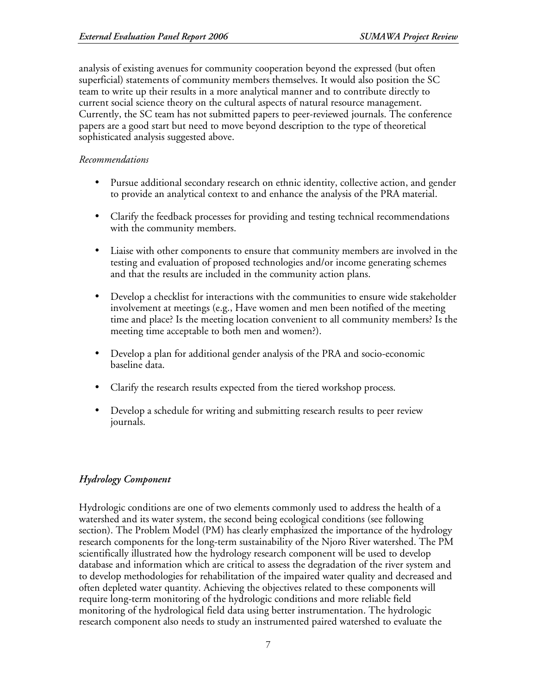analysis of existing avenues for community cooperation beyond the expressed (but often superficial) statements of community members themselves. It would also position the SC team to write up their results in a more analytical manner and to contribute directly to current social science theory on the cultural aspects of natural resource management. Currently, the SC team has not submitted papers to peer-reviewed journals. The conference papers are a good start but need to move beyond description to the type of theoretical sophisticated analysis suggested above.

## *Recommendations*

- Pursue additional secondary research on ethnic identity, collective action, and gender to provide an analytical context to and enhance the analysis of the PRA material.
- Clarify the feedback processes for providing and testing technical recommendations with the community members.
- Liaise with other components to ensure that community members are involved in the testing and evaluation of proposed technologies and/or income generating schemes and that the results are included in the community action plans.
- Develop a checklist for interactions with the communities to ensure wide stakeholder involvement at meetings (e.g., Have women and men been notified of the meeting time and place? Is the meeting location convenient to all community members? Is the meeting time acceptable to both men and women?).
- Develop a plan for additional gender analysis of the PRA and socio-economic baseline data.
- Clarify the research results expected from the tiered workshop process.
- Develop a schedule for writing and submitting research results to peer review journals.

# *Hydrology Component*

Hydrologic conditions are one of two elements commonly used to address the health of a watershed and its water system, the second being ecological conditions (see following section). The Problem Model (PM) has clearly emphasized the importance of the hydrology research components for the long-term sustainability of the Njoro River watershed. The PM scientifically illustrated how the hydrology research component will be used to develop database and information which are critical to assess the degradation of the river system and to develop methodologies for rehabilitation of the impaired water quality and decreased and often depleted water quantity. Achieving the objectives related to these components will require long-term monitoring of the hydrologic conditions and more reliable field monitoring of the hydrological field data using better instrumentation. The hydrologic research component also needs to study an instrumented paired watershed to evaluate the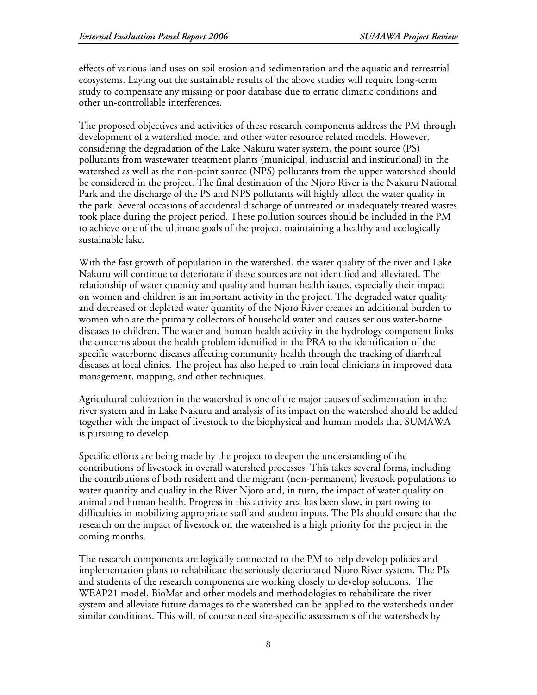effects of various land uses on soil erosion and sedimentation and the aquatic and terrestrial ecosystems. Laying out the sustainable results of the above studies will require long-term study to compensate any missing or poor database due to erratic climatic conditions and other un-controllable interferences.

The proposed objectives and activities of these research components address the PM through development of a watershed model and other water resource related models. However, considering the degradation of the Lake Nakuru water system, the point source (PS) pollutants from wastewater treatment plants (municipal, industrial and institutional) in the watershed as well as the non-point source (NPS) pollutants from the upper watershed should be considered in the project. The final destination of the Njoro River is the Nakuru National Park and the discharge of the PS and NPS pollutants will highly affect the water quality in the park. Several occasions of accidental discharge of untreated or inadequately treated wastes took place during the project period. These pollution sources should be included in the PM to achieve one of the ultimate goals of the project, maintaining a healthy and ecologically sustainable lake.

With the fast growth of population in the watershed, the water quality of the river and Lake Nakuru will continue to deteriorate if these sources are not identified and alleviated. The relationship of water quantity and quality and human health issues, especially their impact on women and children is an important activity in the project. The degraded water quality and decreased or depleted water quantity of the Njoro River creates an additional burden to women who are the primary collectors of household water and causes serious water-borne diseases to children. The water and human health activity in the hydrology component links the concerns about the health problem identified in the PRA to the identification of the specific waterborne diseases affecting community health through the tracking of diarrheal diseases at local clinics. The project has also helped to train local clinicians in improved data management, mapping, and other techniques.

Agricultural cultivation in the watershed is one of the major causes of sedimentation in the river system and in Lake Nakuru and analysis of its impact on the watershed should be added together with the impact of livestock to the biophysical and human models that SUMAWA is pursuing to develop.

Specific efforts are being made by the project to deepen the understanding of the contributions of livestock in overall watershed processes. This takes several forms, including the contributions of both resident and the migrant (non-permanent) livestock populations to water quantity and quality in the River Njoro and, in turn, the impact of water quality on animal and human health. Progress in this activity area has been slow, in part owing to difficulties in mobilizing appropriate staff and student inputs. The PIs should ensure that the research on the impact of livestock on the watershed is a high priority for the project in the coming months.

The research components are logically connected to the PM to help develop policies and implementation plans to rehabilitate the seriously deteriorated Njoro River system. The PIs and students of the research components are working closely to develop solutions. The WEAP21 model, BioMat and other models and methodologies to rehabilitate the river system and alleviate future damages to the watershed can be applied to the watersheds under similar conditions. This will, of course need site-specific assessments of the watersheds by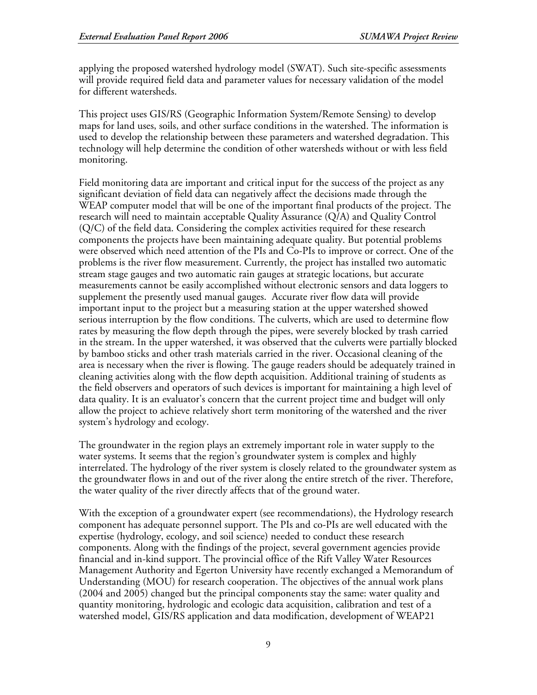applying the proposed watershed hydrology model (SWAT). Such site-specific assessments will provide required field data and parameter values for necessary validation of the model for different watersheds.

This project uses GIS/RS (Geographic Information System/Remote Sensing) to develop maps for land uses, soils, and other surface conditions in the watershed. The information is used to develop the relationship between these parameters and watershed degradation. This technology will help determine the condition of other watersheds without or with less field monitoring.

Field monitoring data are important and critical input for the success of the project as any significant deviation of field data can negatively affect the decisions made through the WEAP computer model that will be one of the important final products of the project. The research will need to maintain acceptable Quality Assurance (Q/A) and Quality Control (Q/C) of the field data. Considering the complex activities required for these research components the projects have been maintaining adequate quality. But potential problems were observed which need attention of the PIs and Co-PIs to improve or correct. One of the problems is the river flow measurement. Currently, the project has installed two automatic stream stage gauges and two automatic rain gauges at strategic locations, but accurate measurements cannot be easily accomplished without electronic sensors and data loggers to supplement the presently used manual gauges. Accurate river flow data will provide important input to the project but a measuring station at the upper watershed showed serious interruption by the flow conditions. The culverts, which are used to determine flow rates by measuring the flow depth through the pipes, were severely blocked by trash carried in the stream. In the upper watershed, it was observed that the culverts were partially blocked by bamboo sticks and other trash materials carried in the river. Occasional cleaning of the area is necessary when the river is flowing. The gauge readers should be adequately trained in cleaning activities along with the flow depth acquisition. Additional training of students as the field observers and operators of such devices is important for maintaining a high level of data quality. It is an evaluator's concern that the current project time and budget will only allow the project to achieve relatively short term monitoring of the watershed and the river system's hydrology and ecology.

The groundwater in the region plays an extremely important role in water supply to the water systems. It seems that the region's groundwater system is complex and highly interrelated. The hydrology of the river system is closely related to the groundwater system as the groundwater flows in and out of the river along the entire stretch of the river. Therefore, the water quality of the river directly affects that of the ground water.

With the exception of a groundwater expert (see recommendations), the Hydrology research component has adequate personnel support. The PIs and co-PIs are well educated with the expertise (hydrology, ecology, and soil science) needed to conduct these research components. Along with the findings of the project, several government agencies provide financial and in-kind support. The provincial office of the Rift Valley Water Resources Management Authority and Egerton University have recently exchanged a Memorandum of Understanding (MOU) for research cooperation. The objectives of the annual work plans (2004 and 2005) changed but the principal components stay the same: water quality and quantity monitoring, hydrologic and ecologic data acquisition, calibration and test of a watershed model, GIS/RS application and data modification, development of WEAP21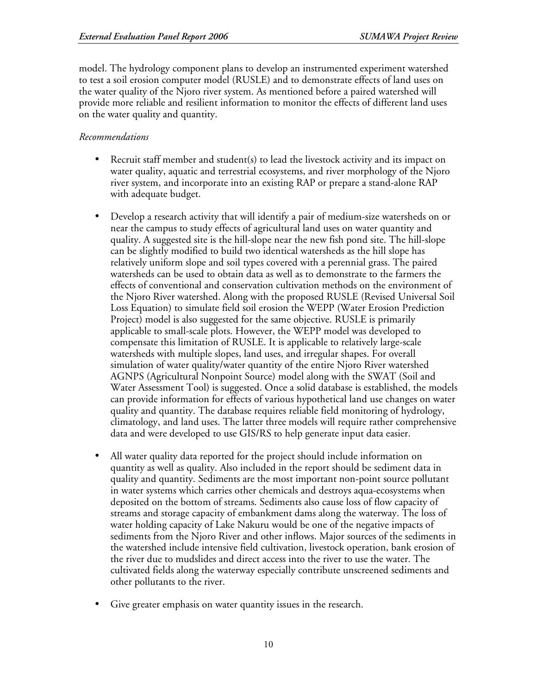model. The hydrology component plans to develop an instrumented experiment watershed to test a soil erosion computer model (RUSLE) and to demonstrate effects of land uses on the water quality of the Njoro river system. As mentioned before a paired watershed will provide more reliable and resilient information to monitor the effects of different land uses on the water quality and quantity.

#### *Recommendations*

- Recruit staff member and student(s) to lead the livestock activity and its impact on water quality, aquatic and terrestrial ecosystems, and river morphology of the Njoro river system, and incorporate into an existing RAP or prepare a stand-alone RAP with adequate budget.
- Develop a research activity that will identify a pair of medium-size watersheds on or near the campus to study effects of agricultural land uses on water quantity and quality. A suggested site is the hill-slope near the new fish pond site. The hill-slope can be slightly modified to build two identical watersheds as the hill slope has relatively uniform slope and soil types covered with a perennial grass. The paired watersheds can be used to obtain data as well as to demonstrate to the farmers the effects of conventional and conservation cultivation methods on the environment of the Njoro River watershed. Along with the proposed RUSLE (Revised Universal Soil Loss Equation) to simulate field soil erosion the WEPP (Water Erosion Prediction Project) model is also suggested for the same objective. RUSLE is primarily applicable to small-scale plots. However, the WEPP model was developed to compensate this limitation of RUSLE. It is applicable to relatively large-scale watersheds with multiple slopes, land uses, and irregular shapes. For overall simulation of water quality/water quantity of the entire Njoro River watershed AGNPS (Agricultural Nonpoint Source) model along with the SWAT (Soil and Water Assessment Tool) is suggested. Once a solid database is established, the models can provide information for effects of various hypothetical land use changes on water quality and quantity. The database requires reliable field monitoring of hydrology, climatology, and land uses. The latter three models will require rather comprehensive data and were developed to use GIS/RS to help generate input data easier.
- All water quality data reported for the project should include information on quantity as well as quality. Also included in the report should be sediment data in quality and quantity. Sediments are the most important non-point source pollutant in water systems which carries other chemicals and destroys aqua-ecosystems when deposited on the bottom of streams. Sediments also cause loss of flow capacity of streams and storage capacity of embankment dams along the waterway. The loss of water holding capacity of Lake Nakuru would be one of the negative impacts of sediments from the Njoro River and other inflows. Major sources of the sediments in the watershed include intensive field cultivation, livestock operation, bank erosion of the river due to mudslides and direct access into the river to use the water. The cultivated fields along the waterway especially contribute unscreened sediments and other pollutants to the river.
- Give greater emphasis on water quantity issues in the research.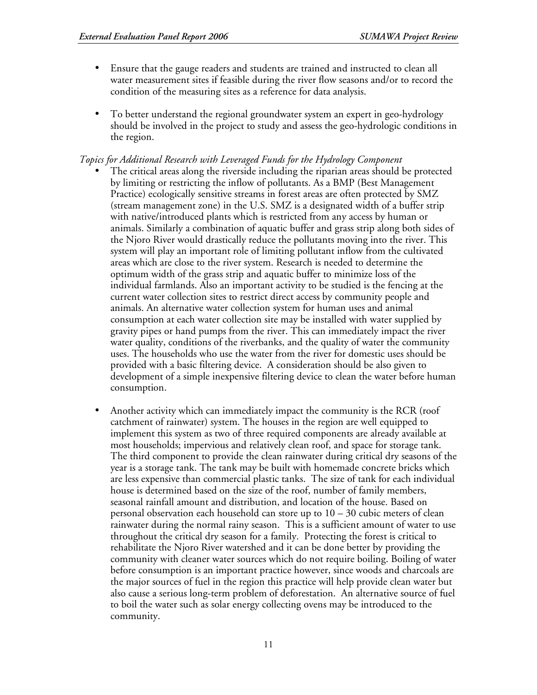- Ensure that the gauge readers and students are trained and instructed to clean all water measurement sites if feasible during the river flow seasons and/or to record the condition of the measuring sites as a reference for data analysis.
- To better understand the regional groundwater system an expert in geo-hydrology should be involved in the project to study and assess the geo-hydrologic conditions in the region.

*Topics for Additional Research with Leveraged Funds for the Hydrology Component*

- The critical areas along the riverside including the riparian areas should be protected by limiting or restricting the inflow of pollutants. As a BMP (Best Management Practice) ecologically sensitive streams in forest areas are often protected by SMZ (stream management zone) in the U.S. SMZ is a designated width of a buffer strip with native/introduced plants which is restricted from any access by human or animals. Similarly a combination of aquatic buffer and grass strip along both sides of the Njoro River would drastically reduce the pollutants moving into the river. This system will play an important role of limiting pollutant inflow from the cultivated areas which are close to the river system. Research is needed to determine the optimum width of the grass strip and aquatic buffer to minimize loss of the individual farmlands. Also an important activity to be studied is the fencing at the current water collection sites to restrict direct access by community people and animals. An alternative water collection system for human uses and animal consumption at each water collection site may be installed with water supplied by gravity pipes or hand pumps from the river. This can immediately impact the river water quality, conditions of the riverbanks, and the quality of water the community uses. The households who use the water from the river for domestic uses should be provided with a basic filtering device. A consideration should be also given to development of a simple inexpensive filtering device to clean the water before human consumption.
- Another activity which can immediately impact the community is the RCR (roof catchment of rainwater) system. The houses in the region are well equipped to implement this system as two of three required components are already available at most households; impervious and relatively clean roof, and space for storage tank. The third component to provide the clean rainwater during critical dry seasons of the year is a storage tank. The tank may be built with homemade concrete bricks which are less expensive than commercial plastic tanks. The size of tank for each individual house is determined based on the size of the roof, number of family members, seasonal rainfall amount and distribution, and location of the house. Based on personal observation each household can store up to  $10 - 30$  cubic meters of clean rainwater during the normal rainy season. This is a sufficient amount of water to use throughout the critical dry season for a family. Protecting the forest is critical to rehabilitate the Njoro River watershed and it can be done better by providing the community with cleaner water sources which do not require boiling. Boiling of water before consumption is an important practice however, since woods and charcoals are the major sources of fuel in the region this practice will help provide clean water but also cause a serious long-term problem of deforestation. An alternative source of fuel to boil the water such as solar energy collecting ovens may be introduced to the community.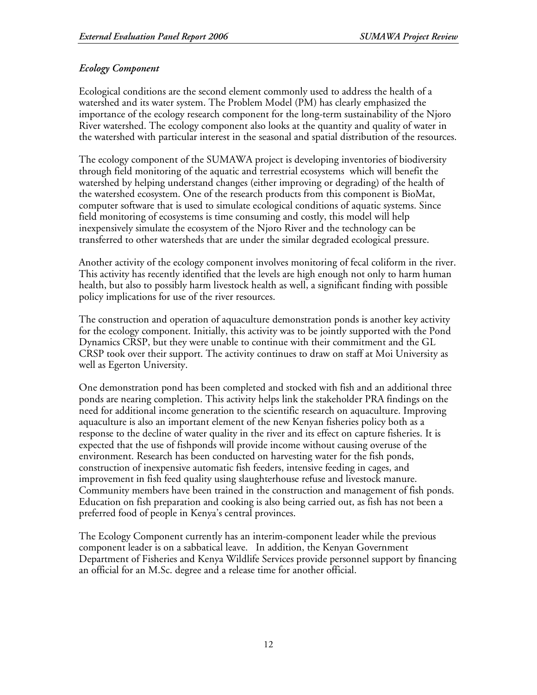# *Ecology Component*

Ecological conditions are the second element commonly used to address the health of a watershed and its water system. The Problem Model (PM) has clearly emphasized the importance of the ecology research component for the long-term sustainability of the Njoro River watershed. The ecology component also looks at the quantity and quality of water in the watershed with particular interest in the seasonal and spatial distribution of the resources.

The ecology component of the SUMAWA project is developing inventories of biodiversity through field monitoring of the aquatic and terrestrial ecosystems which will benefit the watershed by helping understand changes (either improving or degrading) of the health of the watershed ecosystem. One of the research products from this component is BioMat, computer software that is used to simulate ecological conditions of aquatic systems. Since field monitoring of ecosystems is time consuming and costly, this model will help inexpensively simulate the ecosystem of the Njoro River and the technology can be transferred to other watersheds that are under the similar degraded ecological pressure.

Another activity of the ecology component involves monitoring of fecal coliform in the river. This activity has recently identified that the levels are high enough not only to harm human health, but also to possibly harm livestock health as well, a significant finding with possible policy implications for use of the river resources.

The construction and operation of aquaculture demonstration ponds is another key activity for the ecology component. Initially, this activity was to be jointly supported with the Pond Dynamics CRSP, but they were unable to continue with their commitment and the GL CRSP took over their support. The activity continues to draw on staff at Moi University as well as Egerton University.

One demonstration pond has been completed and stocked with fish and an additional three ponds are nearing completion. This activity helps link the stakeholder PRA findings on the need for additional income generation to the scientific research on aquaculture. Improving aquaculture is also an important element of the new Kenyan fisheries policy both as a response to the decline of water quality in the river and its effect on capture fisheries. It is expected that the use of fishponds will provide income without causing overuse of the environment. Research has been conducted on harvesting water for the fish ponds, construction of inexpensive automatic fish feeders, intensive feeding in cages, and improvement in fish feed quality using slaughterhouse refuse and livestock manure. Community members have been trained in the construction and management of fish ponds. Education on fish preparation and cooking is also being carried out, as fish has not been a preferred food of people in Kenya's central provinces.

The Ecology Component currently has an interim-component leader while the previous component leader is on a sabbatical leave. In addition, the Kenyan Government Department of Fisheries and Kenya Wildlife Services provide personnel support by financing an official for an M.Sc. degree and a release time for another official.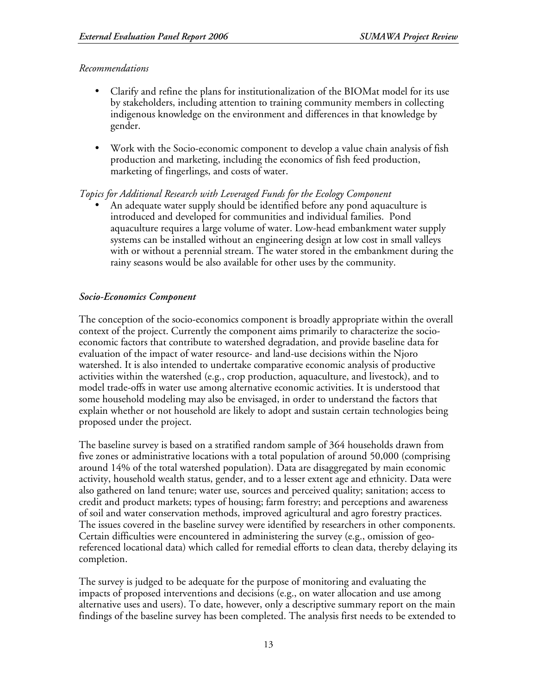## *Recommendations*

- Clarify and refine the plans for institutionalization of the BIOMat model for its use by stakeholders, including attention to training community members in collecting indigenous knowledge on the environment and differences in that knowledge by gender.
- Work with the Socio-economic component to develop a value chain analysis of fish production and marketing, including the economics of fish feed production, marketing of fingerlings, and costs of water.

## *Topics for Additional Research with Leveraged Funds for the Ecology Component*

• An adequate water supply should be identified before any pond aquaculture is introduced and developed for communities and individual families. Pond aquaculture requires a large volume of water. Low-head embankment water supply systems can be installed without an engineering design at low cost in small valleys with or without a perennial stream. The water stored in the embankment during the rainy seasons would be also available for other uses by the community.

## *Socio-Economics Component*

The conception of the socio-economics component is broadly appropriate within the overall context of the project. Currently the component aims primarily to characterize the socioeconomic factors that contribute to watershed degradation, and provide baseline data for evaluation of the impact of water resource- and land-use decisions within the Njoro watershed. It is also intended to undertake comparative economic analysis of productive activities within the watershed (e.g., crop production, aquaculture, and livestock), and to model trade-offs in water use among alternative economic activities. It is understood that some household modeling may also be envisaged, in order to understand the factors that explain whether or not household are likely to adopt and sustain certain technologies being proposed under the project.

The baseline survey is based on a stratified random sample of 364 households drawn from five zones or administrative locations with a total population of around 50,000 (comprising around 14% of the total watershed population). Data are disaggregated by main economic activity, household wealth status, gender, and to a lesser extent age and ethnicity. Data were also gathered on land tenure; water use, sources and perceived quality; sanitation; access to credit and product markets; types of housing; farm forestry; and perceptions and awareness of soil and water conservation methods, improved agricultural and agro forestry practices. The issues covered in the baseline survey were identified by researchers in other components. Certain difficulties were encountered in administering the survey (e.g., omission of georeferenced locational data) which called for remedial efforts to clean data, thereby delaying its completion.

The survey is judged to be adequate for the purpose of monitoring and evaluating the impacts of proposed interventions and decisions (e.g., on water allocation and use among alternative uses and users). To date, however, only a descriptive summary report on the main findings of the baseline survey has been completed. The analysis first needs to be extended to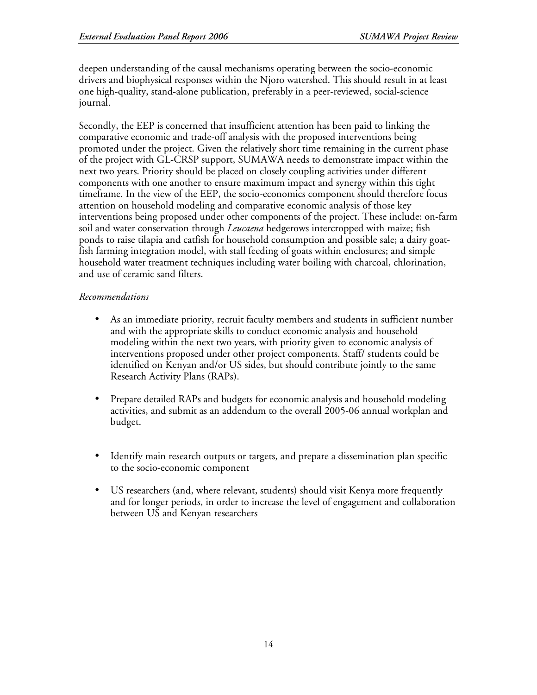deepen understanding of the causal mechanisms operating between the socio-economic drivers and biophysical responses within the Njoro watershed. This should result in at least one high-quality, stand-alone publication, preferably in a peer-reviewed, social-science journal.

Secondly, the EEP is concerned that insufficient attention has been paid to linking the comparative economic and trade-off analysis with the proposed interventions being promoted under the project. Given the relatively short time remaining in the current phase of the project with GL-CRSP support, SUMAWA needs to demonstrate impact within the next two years. Priority should be placed on closely coupling activities under different components with one another to ensure maximum impact and synergy within this tight timeframe. In the view of the EEP, the socio-economics component should therefore focus attention on household modeling and comparative economic analysis of those key interventions being proposed under other components of the project. These include: on-farm soil and water conservation through *Leucaena* hedgerows intercropped with maize; fish ponds to raise tilapia and catfish for household consumption and possible sale; a dairy goatfish farming integration model, with stall feeding of goats within enclosures; and simple household water treatment techniques including water boiling with charcoal, chlorination, and use of ceramic sand filters.

# *Recommendations*

- As an immediate priority, recruit faculty members and students in sufficient number and with the appropriate skills to conduct economic analysis and household modeling within the next two years, with priority given to economic analysis of interventions proposed under other project components. Staff/ students could be identified on Kenyan and/or US sides, but should contribute jointly to the same Research Activity Plans (RAPs).
- Prepare detailed RAPs and budgets for economic analysis and household modeling activities, and submit as an addendum to the overall 2005-06 annual workplan and budget.
- Identify main research outputs or targets, and prepare a dissemination plan specific to the socio-economic component
- US researchers (and, where relevant, students) should visit Kenya more frequently and for longer periods, in order to increase the level of engagement and collaboration between US and Kenyan researchers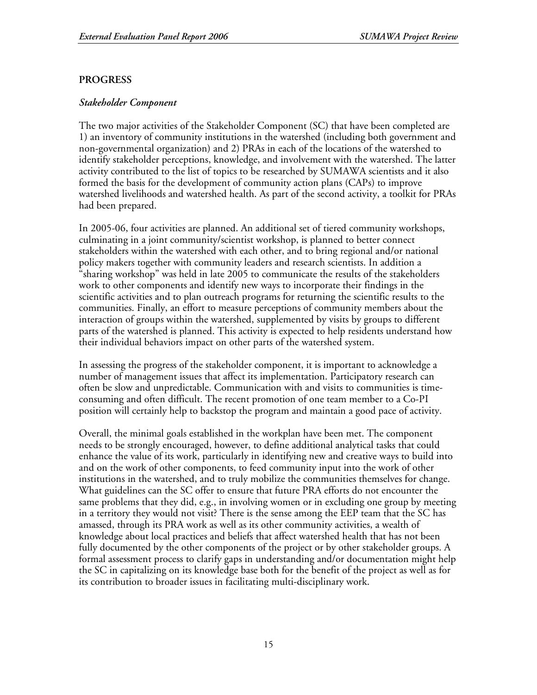# **PROGRESS**

## *Stakeholder Component*

The two major activities of the Stakeholder Component (SC) that have been completed are 1) an inventory of community institutions in the watershed (including both government and non-governmental organization) and 2) PRAs in each of the locations of the watershed to identify stakeholder perceptions, knowledge, and involvement with the watershed. The latter activity contributed to the list of topics to be researched by SUMAWA scientists and it also formed the basis for the development of community action plans (CAPs) to improve watershed livelihoods and watershed health. As part of the second activity, a toolkit for PRAs had been prepared.

In 2005-06, four activities are planned. An additional set of tiered community workshops, culminating in a joint community/scientist workshop, is planned to better connect stakeholders within the watershed with each other, and to bring regional and/or national policy makers together with community leaders and research scientists. In addition a "sharing workshop" was held in late 2005 to communicate the results of the stakeholders work to other components and identify new ways to incorporate their findings in the scientific activities and to plan outreach programs for returning the scientific results to the communities. Finally, an effort to measure perceptions of community members about the interaction of groups within the watershed, supplemented by visits by groups to different parts of the watershed is planned. This activity is expected to help residents understand how their individual behaviors impact on other parts of the watershed system.

In assessing the progress of the stakeholder component, it is important to acknowledge a number of management issues that affect its implementation. Participatory research can often be slow and unpredictable. Communication with and visits to communities is timeconsuming and often difficult. The recent promotion of one team member to a Co-PI position will certainly help to backstop the program and maintain a good pace of activity.

Overall, the minimal goals established in the workplan have been met. The component needs to be strongly encouraged, however, to define additional analytical tasks that could enhance the value of its work, particularly in identifying new and creative ways to build into and on the work of other components, to feed community input into the work of other institutions in the watershed, and to truly mobilize the communities themselves for change. What guidelines can the SC offer to ensure that future PRA efforts do not encounter the same problems that they did, e.g., in involving women or in excluding one group by meeting in a territory they would not visit? There is the sense among the EEP team that the SC has amassed, through its PRA work as well as its other community activities, a wealth of knowledge about local practices and beliefs that affect watershed health that has not been fully documented by the other components of the project or by other stakeholder groups. A formal assessment process to clarify gaps in understanding and/or documentation might help the SC in capitalizing on its knowledge base both for the benefit of the project as well as for its contribution to broader issues in facilitating multi-disciplinary work.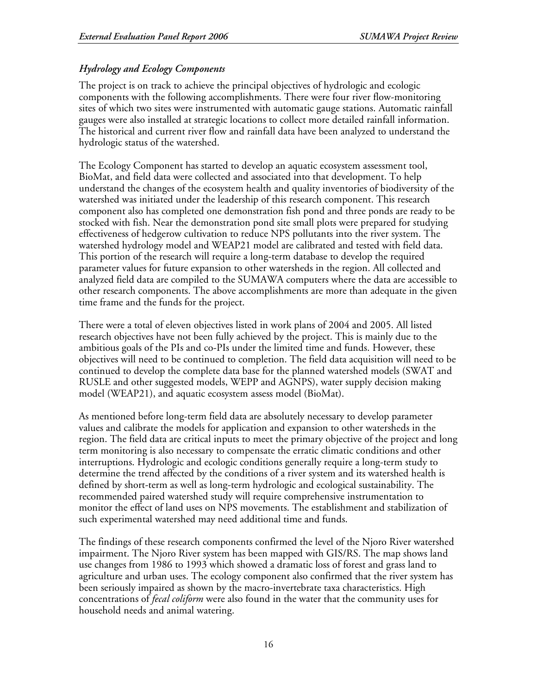# *Hydrology and Ecology Components*

The project is on track to achieve the principal objectives of hydrologic and ecologic components with the following accomplishments. There were four river flow-monitoring sites of which two sites were instrumented with automatic gauge stations. Automatic rainfall gauges were also installed at strategic locations to collect more detailed rainfall information. The historical and current river flow and rainfall data have been analyzed to understand the hydrologic status of the watershed.

The Ecology Component has started to develop an aquatic ecosystem assessment tool, BioMat, and field data were collected and associated into that development. To help understand the changes of the ecosystem health and quality inventories of biodiversity of the watershed was initiated under the leadership of this research component. This research component also has completed one demonstration fish pond and three ponds are ready to be stocked with fish. Near the demonstration pond site small plots were prepared for studying effectiveness of hedgerow cultivation to reduce NPS pollutants into the river system. The watershed hydrology model and WEAP21 model are calibrated and tested with field data. This portion of the research will require a long-term database to develop the required parameter values for future expansion to other watersheds in the region. All collected and analyzed field data are compiled to the SUMAWA computers where the data are accessible to other research components. The above accomplishments are more than adequate in the given time frame and the funds for the project.

There were a total of eleven objectives listed in work plans of 2004 and 2005. All listed research objectives have not been fully achieved by the project. This is mainly due to the ambitious goals of the PIs and co-PIs under the limited time and funds. However, these objectives will need to be continued to completion. The field data acquisition will need to be continued to develop the complete data base for the planned watershed models (SWAT and RUSLE and other suggested models, WEPP and AGNPS), water supply decision making model (WEAP21), and aquatic ecosystem assess model (BioMat).

As mentioned before long-term field data are absolutely necessary to develop parameter values and calibrate the models for application and expansion to other watersheds in the region. The field data are critical inputs to meet the primary objective of the project and long term monitoring is also necessary to compensate the erratic climatic conditions and other interruptions. Hydrologic and ecologic conditions generally require a long-term study to determine the trend affected by the conditions of a river system and its watershed health is defined by short-term as well as long-term hydrologic and ecological sustainability. The recommended paired watershed study will require comprehensive instrumentation to monitor the effect of land uses on NPS movements. The establishment and stabilization of such experimental watershed may need additional time and funds.

The findings of these research components confirmed the level of the Njoro River watershed impairment. The Njoro River system has been mapped with GIS/RS. The map shows land use changes from 1986 to 1993 which showed a dramatic loss of forest and grass land to agriculture and urban uses. The ecology component also confirmed that the river system has been seriously impaired as shown by the macro-invertebrate taxa characteristics. High concentrations of *fecal coliform* were also found in the water that the community uses for household needs and animal watering.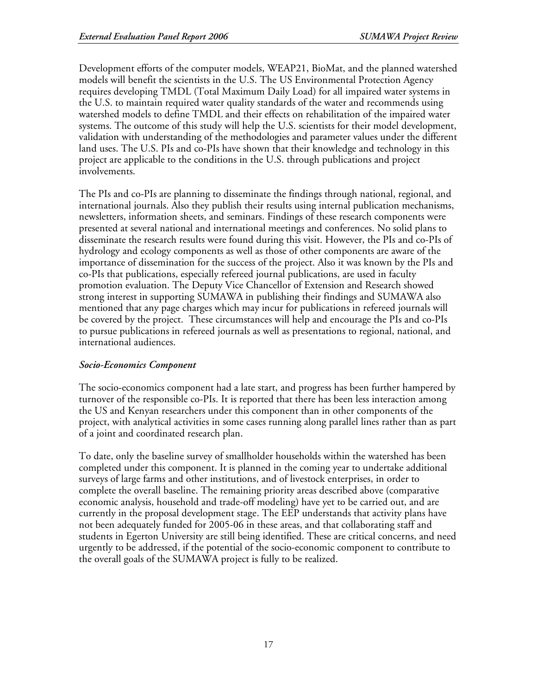Development efforts of the computer models, WEAP21, BioMat, and the planned watershed models will benefit the scientists in the U.S. The US Environmental Protection Agency requires developing TMDL (Total Maximum Daily Load) for all impaired water systems in the U.S. to maintain required water quality standards of the water and recommends using watershed models to define TMDL and their effects on rehabilitation of the impaired water systems. The outcome of this study will help the U.S. scientists for their model development, validation with understanding of the methodologies and parameter values under the different land uses. The U.S. PIs and co-PIs have shown that their knowledge and technology in this project are applicable to the conditions in the U.S. through publications and project involvements.

The PIs and co-PIs are planning to disseminate the findings through national, regional, and international journals. Also they publish their results using internal publication mechanisms, newsletters, information sheets, and seminars. Findings of these research components were presented at several national and international meetings and conferences. No solid plans to disseminate the research results were found during this visit. However, the PIs and co-PIs of hydrology and ecology components as well as those of other components are aware of the importance of dissemination for the success of the project. Also it was known by the PIs and co-PIs that publications, especially refereed journal publications, are used in faculty promotion evaluation. The Deputy Vice Chancellor of Extension and Research showed strong interest in supporting SUMAWA in publishing their findings and SUMAWA also mentioned that any page charges which may incur for publications in refereed journals will be covered by the project. These circumstances will help and encourage the PIs and co-PIs to pursue publications in refereed journals as well as presentations to regional, national, and international audiences.

# *Socio-Economics Component*

The socio-economics component had a late start, and progress has been further hampered by turnover of the responsible co-PIs. It is reported that there has been less interaction among the US and Kenyan researchers under this component than in other components of the project, with analytical activities in some cases running along parallel lines rather than as part of a joint and coordinated research plan.

To date, only the baseline survey of smallholder households within the watershed has been completed under this component. It is planned in the coming year to undertake additional surveys of large farms and other institutions, and of livestock enterprises, in order to complete the overall baseline. The remaining priority areas described above (comparative economic analysis, household and trade-off modeling) have yet to be carried out, and are currently in the proposal development stage. The EEP understands that activity plans have not been adequately funded for 2005-06 in these areas, and that collaborating staff and students in Egerton University are still being identified. These are critical concerns, and need urgently to be addressed, if the potential of the socio-economic component to contribute to the overall goals of the SUMAWA project is fully to be realized.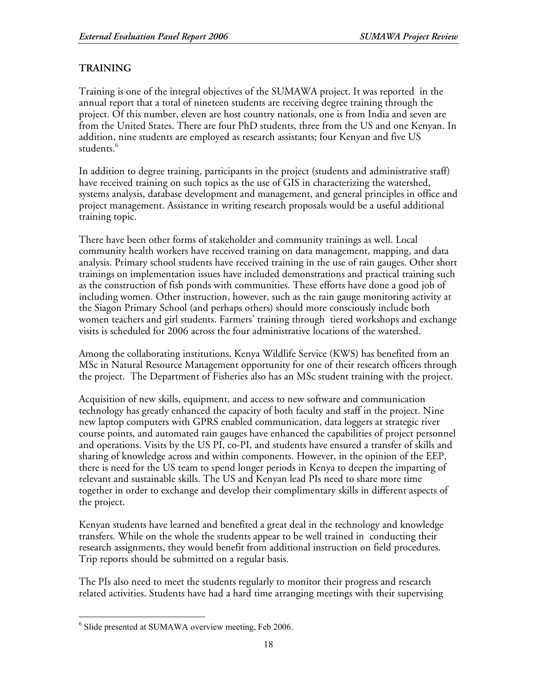# **TRAINING**

Training is one of the integral objectives of the SUMAWA project. It was reported in the annual report that a total of nineteen students are receiving degree training through the project. Of this number, eleven are host country nationals, one is from India and seven are from the United States. There are four PhD students, three from the US and one Kenyan. In addition, nine students are employed as research assistants; four Kenyan and five US students. 6

In addition to degree training, participants in the project (students and administrative staff) have received training on such topics as the use of GIS in characterizing the watershed, systems analysis, database development and management, and general principles in office and project management. Assistance in writing research proposals would be a useful additional training topic.

There have been other forms of stakeholder and community trainings as well. Local community health workers have received training on data management, mapping, and data analysis. Primary school students have received training in the use of rain gauges. Other short trainings on implementation issues have included demonstrations and practical training such as the construction of fish ponds with communities. These efforts have done a good job of including women. Other instruction, however, such as the rain gauge monitoring activity at the Siagon Primary School (and perhaps others) should more consciously include both women teachers and girl students. Farmers' training through tiered workshops and exchange visits is scheduled for 2006 across the four administrative locations of the watershed.

Among the collaborating institutions, Kenya Wildlife Service (KWS) has benefited from an MSc in Natural Resource Management opportunity for one of their research officers through the project. The Department of Fisheries also has an MSc student training with the project.

Acquisition of new skills, equipment, and access to new software and communication technology has greatly enhanced the capacity of both faculty and staff in the project. Nine new laptop computers with GPRS enabled communication, data loggers at strategic river course points, and automated rain gauges have enhanced the capabilities of project personnel and operations. Visits by the US PI, co-PI, and students have ensured a transfer of skills and sharing of knowledge across and within components. However, in the opinion of the EEP, there is need for the US team to spend longer periods in Kenya to deepen the imparting of relevant and sustainable skills. The US and Kenyan lead PIs need to share more time together in order to exchange and develop their complimentary skills in different aspects of the project.

Kenyan students have learned and benefited a great deal in the technology and knowledge transfers. While on the whole the students appear to be well trained in conducting their research assignments, they would benefit from additional instruction on field procedures. Trip reports should be submitted on a regular basis.

The PIs also need to meet the students regularly to monitor their progress and research related activities. Students have had a hard time arranging meetings with their supervising

<sup>&</sup>lt;sup>6</sup> Slide presented at SUMAWA overview meeting, Feb 2006.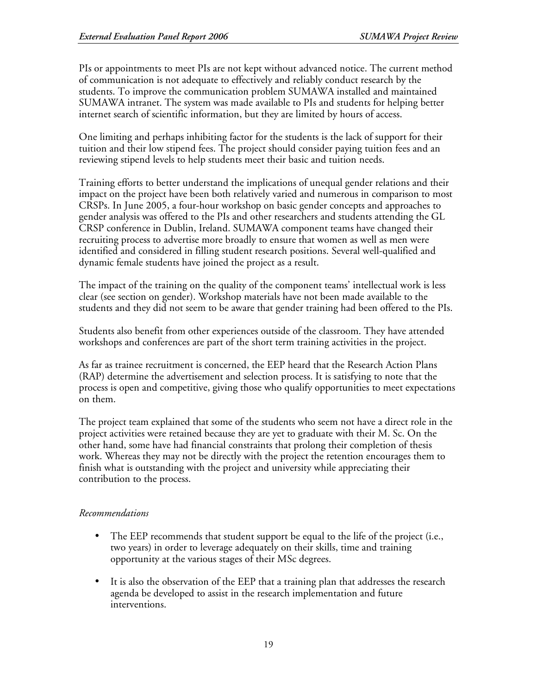PIs or appointments to meet PIs are not kept without advanced notice. The current method of communication is not adequate to effectively and reliably conduct research by the students. To improve the communication problem SUMAWA installed and maintained SUMAWA intranet. The system was made available to PIs and students for helping better internet search of scientific information, but they are limited by hours of access.

One limiting and perhaps inhibiting factor for the students is the lack of support for their tuition and their low stipend fees. The project should consider paying tuition fees and an reviewing stipend levels to help students meet their basic and tuition needs.

Training efforts to better understand the implications of unequal gender relations and their impact on the project have been both relatively varied and numerous in comparison to most CRSPs. In June 2005, a four-hour workshop on basic gender concepts and approaches to gender analysis was offered to the PIs and other researchers and students attending the GL CRSP conference in Dublin, Ireland. SUMAWA component teams have changed their recruiting process to advertise more broadly to ensure that women as well as men were identified and considered in filling student research positions. Several well-qualified and dynamic female students have joined the project as a result.

The impact of the training on the quality of the component teams' intellectual work is less clear (see section on gender). Workshop materials have not been made available to the students and they did not seem to be aware that gender training had been offered to the PIs.

Students also benefit from other experiences outside of the classroom. They have attended workshops and conferences are part of the short term training activities in the project.

As far as trainee recruitment is concerned, the EEP heard that the Research Action Plans (RAP) determine the advertisement and selection process. It is satisfying to note that the process is open and competitive, giving those who qualify opportunities to meet expectations on them.

The project team explained that some of the students who seem not have a direct role in the project activities were retained because they are yet to graduate with their M. Sc. On the other hand, some have had financial constraints that prolong their completion of thesis work. Whereas they may not be directly with the project the retention encourages them to finish what is outstanding with the project and university while appreciating their contribution to the process.

# *Recommendations*

- The EEP recommends that student support be equal to the life of the project (i.e., two years) in order to leverage adequately on their skills, time and training opportunity at the various stages of their MSc degrees.
- It is also the observation of the EEP that a training plan that addresses the research agenda be developed to assist in the research implementation and future interventions.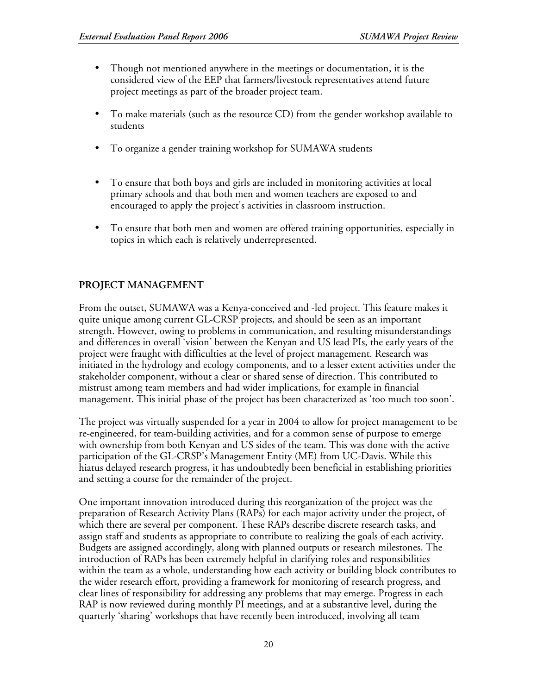- Though not mentioned anywhere in the meetings or documentation, it is the considered view of the EEP that farmers/livestock representatives attend future project meetings as part of the broader project team.
- To make materials (such as the resource CD) from the gender workshop available to students
- To organize a gender training workshop for SUMAWA students
- To ensure that both boys and girls are included in monitoring activities at local primary schools and that both men and women teachers are exposed to and encouraged to apply the project's activities in classroom instruction.
- To ensure that both men and women are offered training opportunities, especially in topics in which each is relatively underrepresented.

# **PROJECT MANAGEMENT**

From the outset, SUMAWA was a Kenya-conceived and -led project. This feature makes it quite unique among current GL-CRSP projects, and should be seen as an important strength. However, owing to problems in communication, and resulting misunderstandings and differences in overall 'vision' between the Kenyan and US lead PIs, the early years of the project were fraught with difficulties at the level of project management. Research was initiated in the hydrology and ecology components, and to a lesser extent activities under the stakeholder component, without a clear or shared sense of direction. This contributed to mistrust among team members and had wider implications, for example in financial management. This initial phase of the project has been characterized as 'too much too soon'.

The project was virtually suspended for a year in 2004 to allow for project management to be re-engineered, for team-building activities, and for a common sense of purpose to emerge with ownership from both Kenyan and US sides of the team. This was done with the active participation of the GL-CRSP's Management Entity (ME) from UC-Davis. While this hiatus delayed research progress, it has undoubtedly been beneficial in establishing priorities and setting a course for the remainder of the project.

One important innovation introduced during this reorganization of the project was the preparation of Research Activity Plans (RAPs) for each major activity under the project, of which there are several per component. These RAPs describe discrete research tasks, and assign staff and students as appropriate to contribute to realizing the goals of each activity. Budgets are assigned accordingly, along with planned outputs or research milestones. The introduction of RAPs has been extremely helpful in clarifying roles and responsibilities within the team as a whole, understanding how each activity or building block contributes to the wider research effort, providing a framework for monitoring of research progress, and clear lines of responsibility for addressing any problems that may emerge. Progress in each RAP is now reviewed during monthly PI meetings, and at a substantive level, during the quarterly 'sharing' workshops that have recently been introduced, involving all team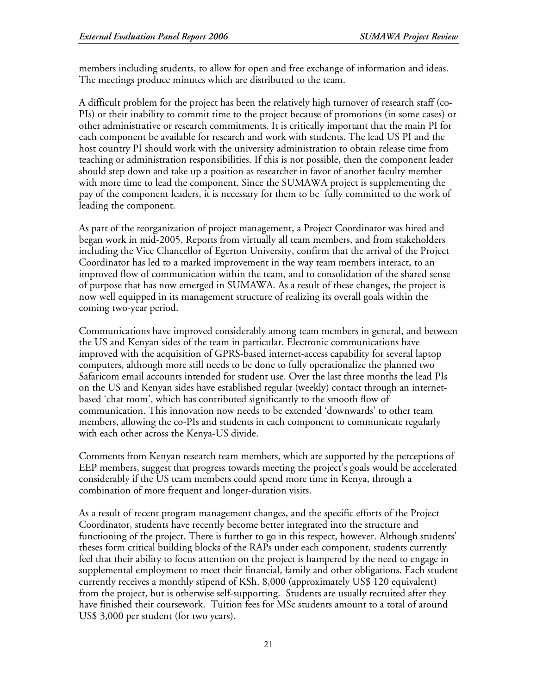members including students, to allow for open and free exchange of information and ideas. The meetings produce minutes which are distributed to the team.

A difficult problem for the project has been the relatively high turnover of research staff (co-PIs) or their inability to commit time to the project because of promotions (in some cases) or other administrative or research commitments. It is critically important that the main PI for each component be available for research and work with students. The lead US PI and the host country PI should work with the university administration to obtain release time from teaching or administration responsibilities. If this is not possible, then the component leader should step down and take up a position as researcher in favor of another faculty member with more time to lead the component. Since the SUMAWA project is supplementing the pay of the component leaders, it is necessary for them to be fully committed to the work of leading the component.

As part of the reorganization of project management, a Project Coordinator was hired and began work in mid-2005. Reports from virtually all team members, and from stakeholders including the Vice Chancellor of Egerton University, confirm that the arrival of the Project Coordinator has led to a marked improvement in the way team members interact, to an improved flow of communication within the team, and to consolidation of the shared sense of purpose that has now emerged in SUMAWA. As a result of these changes, the project is now well equipped in its management structure of realizing its overall goals within the coming two-year period.

Communications have improved considerably among team members in general, and between the US and Kenyan sides of the team in particular. Electronic communications have improved with the acquisition of GPRS-based internet-access capability for several laptop computers, although more still needs to be done to fully operationalize the planned two Safaricom email accounts intended for student use. Over the last three months the lead PIs on the US and Kenyan sides have established regular (weekly) contact through an internetbased 'chat room', which has contributed significantly to the smooth flow of communication. This innovation now needs to be extended 'downwards' to other team members, allowing the co-PIs and students in each component to communicate regularly with each other across the Kenya-US divide.

Comments from Kenyan research team members, which are supported by the perceptions of EEP members, suggest that progress towards meeting the project's goals would be accelerated considerably if the US team members could spend more time in Kenya, through a combination of more frequent and longer-duration visits.

As a result of recent program management changes, and the specific efforts of the Project Coordinator, students have recently become better integrated into the structure and functioning of the project. There is further to go in this respect, however. Although students' theses form critical building blocks of the RAPs under each component, students currently feel that their ability to focus attention on the project is hampered by the need to engage in supplemental employment to meet their financial, family and other obligations. Each student currently receives a monthly stipend of KSh. 8,000 (approximately US\$ 120 equivalent) from the project, but is otherwise self-supporting. Students are usually recruited after they have finished their coursework. Tuition fees for MSc students amount to a total of around US\$ 3,000 per student (for two years).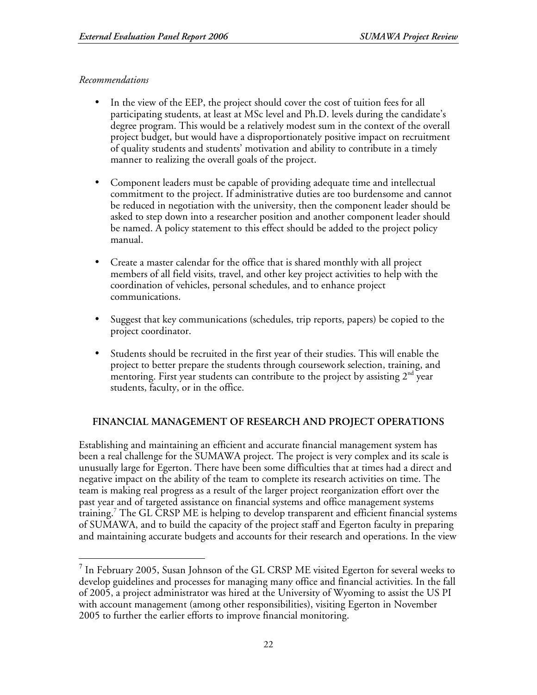## *Recommendations*

- In the view of the EEP, the project should cover the cost of tuition fees for all participating students, at least at MSc level and Ph.D. levels during the candidate's degree program. This would be a relatively modest sum in the context of the overall project budget, but would have a disproportionately positive impact on recruitment of quality students and students' motivation and ability to contribute in a timely manner to realizing the overall goals of the project.
- Component leaders must be capable of providing adequate time and intellectual commitment to the project. If administrative duties are too burdensome and cannot be reduced in negotiation with the university, then the component leader should be asked to step down into a researcher position and another component leader should be named. A policy statement to this effect should be added to the project policy manual.
- Create a master calendar for the office that is shared monthly with all project members of all field visits, travel, and other key project activities to help with the coordination of vehicles, personal schedules, and to enhance project communications.
- Suggest that key communications (schedules, trip reports, papers) be copied to the project coordinator.
- Students should be recruited in the first year of their studies. This will enable the project to better prepare the students through coursework selection, training, and mentoring. First year students can contribute to the project by assisting  $2^{\text{nd}}$  year students, faculty, or in the office.

# **FINANCIAL MANAGEMENT OF RESEARCH AND PROJECT OPERATIONS**

Establishing and maintaining an efficient and accurate financial management system has been a real challenge for the SUMAWA project. The project is very complex and its scale is unusually large for Egerton. There have been some difficulties that at times had a direct and negative impact on the ability of the team to complete its research activities on time. The team is making real progress as a result of the larger project reorganization effort over the past year and of targeted assistance on financial systems and office management systems training. 7 The GL CRSP ME is helping to develop transparent and efficient financial systems of SUMAWA, and to build the capacity of the project staff and Egerton faculty in preparing and maintaining accurate budgets and accounts for their research and operations. In the view

 <sup>7</sup> In February 2005, Susan Johnson of the GL CRSP ME visited Egerton for several weeks to develop guidelines and processes for managing many office and financial activities. In the fall of 2005, a project administrator was hired at the University of Wyoming to assist the US PI with account management (among other responsibilities), visiting Egerton in November 2005 to further the earlier efforts to improve financial monitoring.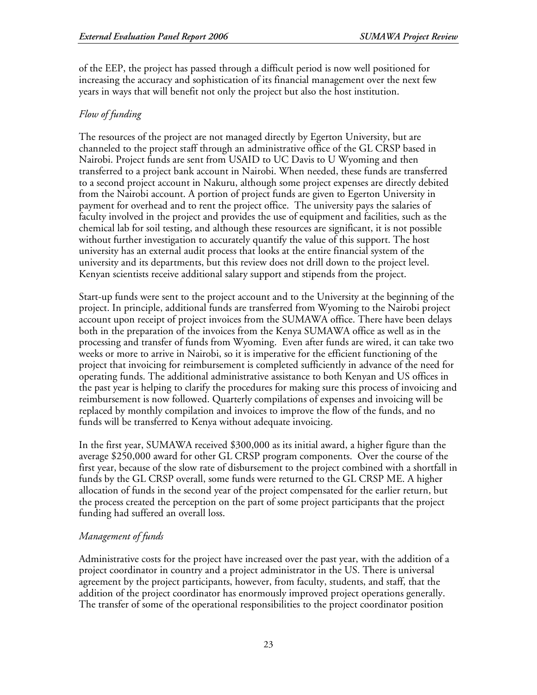of the EEP, the project has passed through a difficult period is now well positioned for increasing the accuracy and sophistication of its financial management over the next few years in ways that will benefit not only the project but also the host institution.

# *Flow of funding*

The resources of the project are not managed directly by Egerton University, but are channeled to the project staff through an administrative office of the GL CRSP based in Nairobi. Project funds are sent from USAID to UC Davis to U Wyoming and then transferred to a project bank account in Nairobi. When needed, these funds are transferred to a second project account in Nakuru, although some project expenses are directly debited from the Nairobi account. A portion of project funds are given to Egerton University in payment for overhead and to rent the project office. The university pays the salaries of faculty involved in the project and provides the use of equipment and facilities, such as the chemical lab for soil testing, and although these resources are significant, it is not possible without further investigation to accurately quantify the value of this support. The host university has an external audit process that looks at the entire financial system of the university and its departments, but this review does not drill down to the project level. Kenyan scientists receive additional salary support and stipends from the project.

Start-up funds were sent to the project account and to the University at the beginning of the project. In principle, additional funds are transferred from Wyoming to the Nairobi project account upon receipt of project invoices from the SUMAWA office. There have been delays both in the preparation of the invoices from the Kenya SUMAWA office as well as in the processing and transfer of funds from Wyoming. Even after funds are wired, it can take two weeks or more to arrive in Nairobi, so it is imperative for the efficient functioning of the project that invoicing for reimbursement is completed sufficiently in advance of the need for operating funds. The additional administrative assistance to both Kenyan and US offices in the past year is helping to clarify the procedures for making sure this process of invoicing and reimbursement is now followed. Quarterly compilations of expenses and invoicing will be replaced by monthly compilation and invoices to improve the flow of the funds, and no funds will be transferred to Kenya without adequate invoicing.

In the first year, SUMAWA received \$300,000 as its initial award, a higher figure than the average \$250,000 award for other GL CRSP program components. Over the course of the first year, because of the slow rate of disbursement to the project combined with a shortfall in funds by the GL CRSP overall, some funds were returned to the GL CRSP ME. A higher allocation of funds in the second year of the project compensated for the earlier return, but the process created the perception on the part of some project participants that the project funding had suffered an overall loss.

# *Management of funds*

Administrative costs for the project have increased over the past year, with the addition of a project coordinator in country and a project administrator in the US. There is universal agreement by the project participants, however, from faculty, students, and staff, that the addition of the project coordinator has enormously improved project operations generally. The transfer of some of the operational responsibilities to the project coordinator position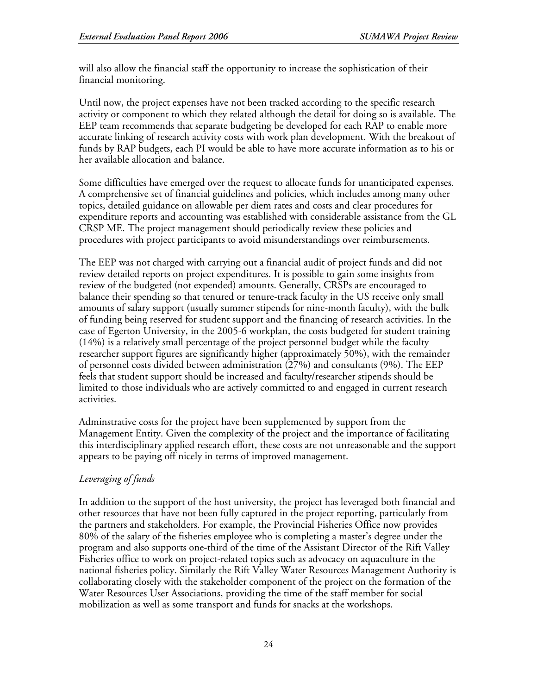will also allow the financial staff the opportunity to increase the sophistication of their financial monitoring.

Until now, the project expenses have not been tracked according to the specific research activity or component to which they related although the detail for doing so is available. The EEP team recommends that separate budgeting be developed for each RAP to enable more accurate linking of research activity costs with work plan development. With the breakout of funds by RAP budgets, each PI would be able to have more accurate information as to his or her available allocation and balance.

Some difficulties have emerged over the request to allocate funds for unanticipated expenses. A comprehensive set of financial guidelines and policies, which includes among many other topics, detailed guidance on allowable per diem rates and costs and clear procedures for expenditure reports and accounting was established with considerable assistance from the GL CRSP ME. The project management should periodically review these policies and procedures with project participants to avoid misunderstandings over reimbursements.

The EEP was not charged with carrying out a financial audit of project funds and did not review detailed reports on project expenditures. It is possible to gain some insights from review of the budgeted (not expended) amounts. Generally, CRSPs are encouraged to balance their spending so that tenured or tenure-track faculty in the US receive only small amounts of salary support (usually summer stipends for nine-month faculty), with the bulk of funding being reserved for student support and the financing of research activities. In the case of Egerton University, in the 2005-6 workplan, the costs budgeted for student training (14%) is a relatively small percentage of the project personnel budget while the faculty researcher support figures are significantly higher (approximately 50%), with the remainder of personnel costs divided between administration (27%) and consultants (9%). The EEP feels that student support should be increased and faculty/researcher stipends should be limited to those individuals who are actively committed to and engaged in current research activities.

Adminstrative costs for the project have been supplemented by support from the Management Entity. Given the complexity of the project and the importance of facilitating this interdisciplinary applied research effort, these costs are not unreasonable and the support appears to be paying off nicely in terms of improved management.

# *Leveraging of funds*

In addition to the support of the host university, the project has leveraged both financial and other resources that have not been fully captured in the project reporting, particularly from the partners and stakeholders. For example, the Provincial Fisheries Office now provides 80% of the salary of the fisheries employee who is completing a master's degree under the program and also supports one-third of the time of the Assistant Director of the Rift Valley Fisheries office to work on project-related topics such as advocacy on aquaculture in the national fisheries policy. Similarly the Rift Valley Water Resources Management Authority is collaborating closely with the stakeholder component of the project on the formation of the Water Resources User Associations, providing the time of the staff member for social mobilization as well as some transport and funds for snacks at the workshops.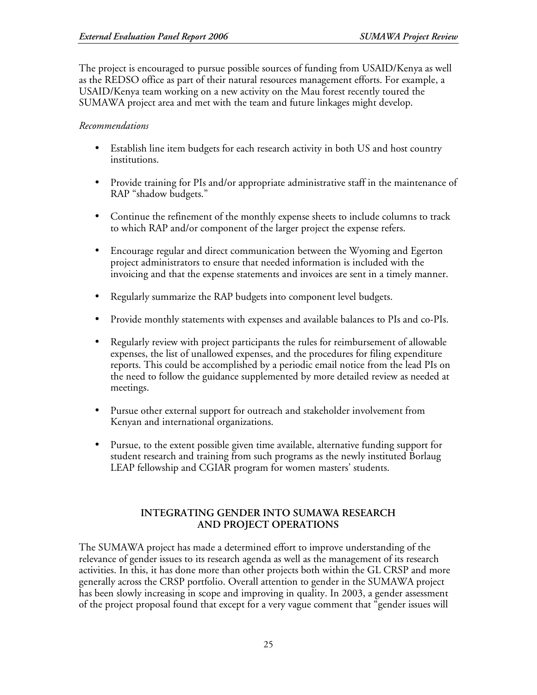The project is encouraged to pursue possible sources of funding from USAID/Kenya as well as the REDSO office as part of their natural resources management efforts. For example, a USAID/Kenya team working on a new activity on the Mau forest recently toured the SUMAWA project area and met with the team and future linkages might develop.

## *Recommendations*

- Establish line item budgets for each research activity in both US and host country institutions.
- Provide training for PIs and/or appropriate administrative staff in the maintenance of RAP "shadow budgets."
- Continue the refinement of the monthly expense sheets to include columns to track to which RAP and/or component of the larger project the expense refers.
- Encourage regular and direct communication between the Wyoming and Egerton project administrators to ensure that needed information is included with the invoicing and that the expense statements and invoices are sent in a timely manner.
- Regularly summarize the RAP budgets into component level budgets.
- Provide monthly statements with expenses and available balances to PIs and co-PIs.
- Regularly review with project participants the rules for reimbursement of allowable expenses, the list of unallowed expenses, and the procedures for filing expenditure reports. This could be accomplished by a periodic email notice from the lead PIs on the need to follow the guidance supplemented by more detailed review as needed at meetings.
- Pursue other external support for outreach and stakeholder involvement from Kenyan and international organizations.
- Pursue, to the extent possible given time available, alternative funding support for student research and training from such programs as the newly instituted Borlaug LEAP fellowship and CGIAR program for women masters' students.

## **INTEGRATING GENDER INTO SUMAWA RESEARCH AND PROJECT OPERATIONS**

The SUMAWA project has made a determined effort to improve understanding of the relevance of gender issues to its research agenda as well as the management of its research activities. In this, it has done more than other projects both within the GL CRSP and more generally across the CRSP portfolio. Overall attention to gender in the SUMAWA project has been slowly increasing in scope and improving in quality. In 2003, a gender assessment of the project proposal found that except for a very vague comment that "gender issues will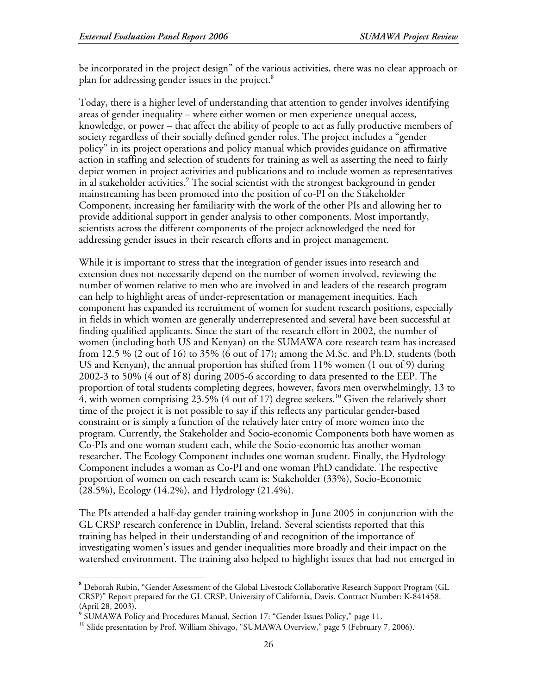be incorporated in the project design" of the various activities, there was no clear approach or plan for addressing gender issues in the project. 8

Today, there is a higher level of understanding that attention to gender involves identifying areas of gender inequality – where either women or men experience unequal access, knowledge, or power – that affect the ability of people to act as fully productive members of society regardless of their socially defined gender roles. The project includes a "gender policy" in its project operations and policy manual which provides guidance on affirmative action in staffing and selection of students for training as well as asserting the need to fairly depict women in project activities and publications and to include women as representatives in al stakeholder activities. 9 The social scientist with the strongest background in gender mainstreaming has been promoted into the position of co-PI on the Stakeholder Component, increasing her familiarity with the work of the other PIs and allowing her to provide additional support in gender analysis to other components. Most importantly, scientists across the different components of the project acknowledged the need for addressing gender issues in their research efforts and in project management.

While it is important to stress that the integration of gender issues into research and extension does not necessarily depend on the number of women involved, reviewing the number of women relative to men who are involved in and leaders of the research program can help to highlight areas of under-representation or management inequities. Each component has expanded its recruitment of women for student research positions, especially in fields in which women are generally underrepresented and several have been successful at finding qualified applicants. Since the start of the research effort in 2002, the number of women (including both US and Kenyan) on the SUMAWA core research team has increased from 12.5 % (2 out of 16) to 35% (6 out of 17); among the M.Sc. and Ph.D. students (both US and Kenyan), the annual proportion has shifted from 11% women (1 out of 9) during 2002-3 to 50% (4 out of 8) during 2005-6 according to data presented to the EEP. The proportion of total students completing degrees, however, favors men overwhelmingly, 13 to  $\overline{4}$ , with women comprising 23.5% (4 out of 17) degree seekers. $^{10}$  Given the relatively short time of the project it is not possible to say if this reflects any particular gender-based constraint or is simply a function of the relatively later entry of more women into the program. Currently, the Stakeholder and Socio-economic Components both have women as Co-PIs and one woman student each, while the Socio-economic has another woman researcher. The Ecology Component includes one woman student. Finally, the Hydrology Component includes a woman as Co-PI and one woman PhD candidate. The respective proportion of women on each research team is: Stakeholder (33%), Socio-Economic (28.5%), Ecology (14.2%), and Hydrology (21.4%).

The PIs attended a half-day gender training workshop in June 2005 in conjunction with the GL CRSP research conference in Dublin, Ireland. Several scientists reported that this training has helped in their understanding of and recognition of the importance of investigating women's issues and gender inequalities more broadly and their impact on the watershed environment. The training also helped to highlight issues that had not emerged in

**<sup>8</sup>** Deborah Rubin, "Gender Assessment of the Global Livestock Collaborative Research Support Program (GL CRSP)" Report prepared for the GL CRSP, University of California, Davis. Contract Number: K-841458. (April 28, 2003).<br><sup>9</sup> SUMAWA Policy and Procedures Manual, Section 17: "Gender Issues Policy," page 11.<br><sup>10</sup> Slide presentation by Prof. William Shivago, "SUMAWA Overview," page 5 (February 7, 2006).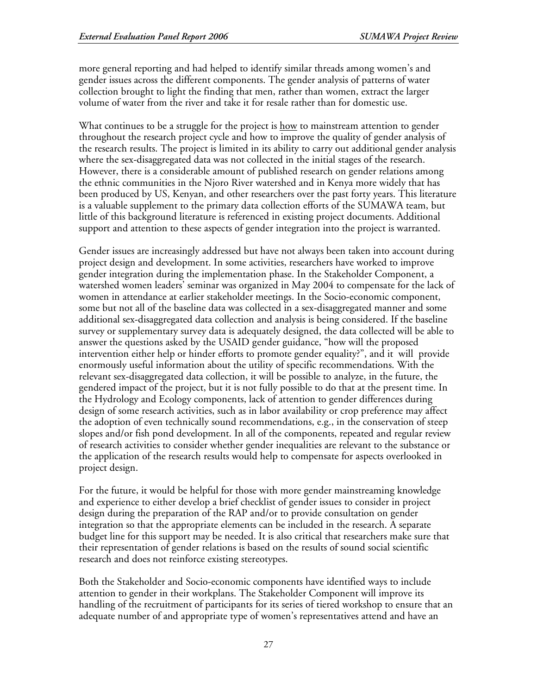more general reporting and had helped to identify similar threads among women's and gender issues across the different components. The gender analysis of patterns of water collection brought to light the finding that men, rather than women, extract the larger volume of water from the river and take it for resale rather than for domestic use.

What continues to be a struggle for the project is how to mainstream attention to gender throughout the research project cycle and how to improve the quality of gender analysis of the research results. The project is limited in its ability to carry out additional gender analysis where the sex-disaggregated data was not collected in the initial stages of the research. However, there is a considerable amount of published research on gender relations among the ethnic communities in the Njoro River watershed and in Kenya more widely that has been produced by US, Kenyan, and other researchers over the past forty years. This literature is a valuable supplement to the primary data collection efforts of the SUMAWA team, but little of this background literature is referenced in existing project documents. Additional support and attention to these aspects of gender integration into the project is warranted.

Gender issues are increasingly addressed but have not always been taken into account during project design and development. In some activities, researchers have worked to improve gender integration during the implementation phase. In the Stakeholder Component, a watershed women leaders' seminar was organized in May 2004 to compensate for the lack of women in attendance at earlier stakeholder meetings. In the Socio-economic component, some but not all of the baseline data was collected in a sex-disaggregated manner and some additional sex-disaggregated data collection and analysis is being considered. If the baseline survey or supplementary survey data is adequately designed, the data collected will be able to answer the questions asked by the USAID gender guidance, "how will the proposed intervention either help or hinder efforts to promote gender equality?", and it will provide enormously useful information about the utility of specific recommendations. With the relevant sex-disaggregated data collection, it will be possible to analyze, in the future, the gendered impact of the project, but it is not fully possible to do that at the present time. In the Hydrology and Ecology components, lack of attention to gender differences during design of some research activities, such as in labor availability or crop preference may affect the adoption of even technically sound recommendations, e.g., in the conservation of steep slopes and/or fish pond development. In all of the components, repeated and regular review of research activities to consider whether gender inequalities are relevant to the substance or the application of the research results would help to compensate for aspects overlooked in project design.

For the future, it would be helpful for those with more gender mainstreaming knowledge and experience to either develop a brief checklist of gender issues to consider in project design during the preparation of the RAP and/or to provide consultation on gender integration so that the appropriate elements can be included in the research. A separate budget line for this support may be needed. It is also critical that researchers make sure that their representation of gender relations is based on the results of sound social scientific research and does not reinforce existing stereotypes.

Both the Stakeholder and Socio-economic components have identified ways to include attention to gender in their workplans. The Stakeholder Component will improve its handling of the recruitment of participants for its series of tiered workshop to ensure that an adequate number of and appropriate type of women's representatives attend and have an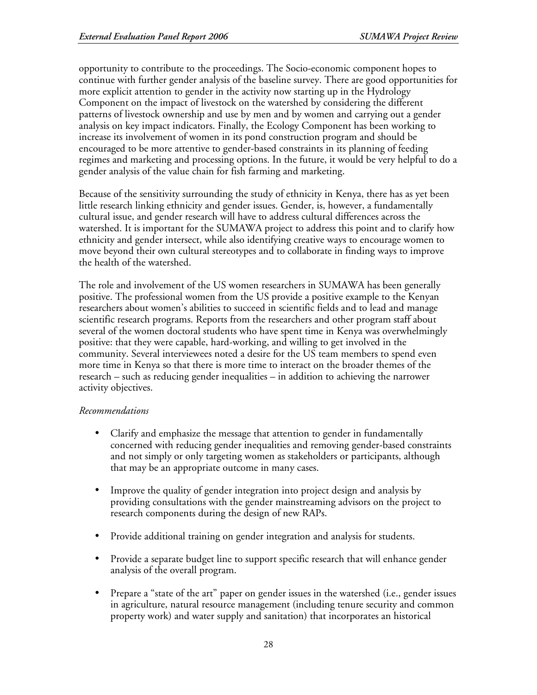opportunity to contribute to the proceedings. The Socio-economic component hopes to continue with further gender analysis of the baseline survey. There are good opportunities for more explicit attention to gender in the activity now starting up in the Hydrology Component on the impact of livestock on the watershed by considering the different patterns of livestock ownership and use by men and by women and carrying out a gender analysis on key impact indicators. Finally, the Ecology Component has been working to increase its involvement of women in its pond construction program and should be encouraged to be more attentive to gender-based constraints in its planning of feeding regimes and marketing and processing options. In the future, it would be very helpful to do a gender analysis of the value chain for fish farming and marketing.

Because of the sensitivity surrounding the study of ethnicity in Kenya, there has as yet been little research linking ethnicity and gender issues. Gender, is, however, a fundamentally cultural issue, and gender research will have to address cultural differences across the watershed. It is important for the SUMAWA project to address this point and to clarify how ethnicity and gender intersect, while also identifying creative ways to encourage women to move beyond their own cultural stereotypes and to collaborate in finding ways to improve the health of the watershed.

The role and involvement of the US women researchers in SUMAWA has been generally positive. The professional women from the US provide a positive example to the Kenyan researchers about women's abilities to succeed in scientific fields and to lead and manage scientific research programs. Reports from the researchers and other program staff about several of the women doctoral students who have spent time in Kenya was overwhelmingly positive: that they were capable, hard-working, and willing to get involved in the community. Several interviewees noted a desire for the US team members to spend even more time in Kenya so that there is more time to interact on the broader themes of the research – such as reducing gender inequalities – in addition to achieving the narrower activity objectives.

## *Recommendations*

- Clarify and emphasize the message that attention to gender in fundamentally concerned with reducing gender inequalities and removing gender-based constraints and not simply or only targeting women as stakeholders or participants, although that may be an appropriate outcome in many cases.
- Improve the quality of gender integration into project design and analysis by providing consultations with the gender mainstreaming advisors on the project to research components during the design of new RAPs.
- Provide additional training on gender integration and analysis for students.
- Provide a separate budget line to support specific research that will enhance gender analysis of the overall program.
- Prepare a "state of the art" paper on gender issues in the watershed (i.e., gender issues in agriculture, natural resource management (including tenure security and common property work) and water supply and sanitation) that incorporates an historical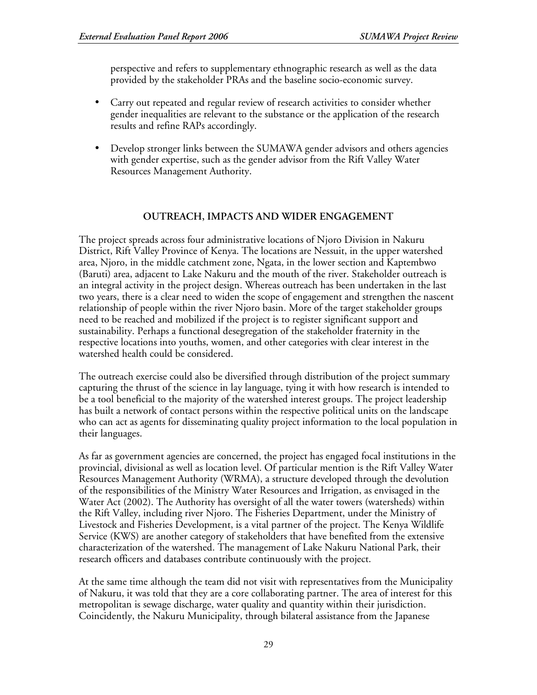perspective and refers to supplementary ethnographic research as well as the data provided by the stakeholder PRAs and the baseline socio-economic survey.

- Carry out repeated and regular review of research activities to consider whether gender inequalities are relevant to the substance or the application of the research results and refine RAPs accordingly.
- Develop stronger links between the SUMAWA gender advisors and others agencies with gender expertise, such as the gender advisor from the Rift Valley Water Resources Management Authority.

## **OUTREACH, IMPACTS AND WIDER ENGAGEMENT**

The project spreads across four administrative locations of Njoro Division in Nakuru District, Rift Valley Province of Kenya. The locations are Nessuit, in the upper watershed area, Njoro, in the middle catchment zone, Ngata, in the lower section and Kaptembwo (Baruti) area, adjacent to Lake Nakuru and the mouth of the river. Stakeholder outreach is an integral activity in the project design. Whereas outreach has been undertaken in the last two years, there is a clear need to widen the scope of engagement and strengthen the nascent relationship of people within the river Njoro basin. More of the target stakeholder groups need to be reached and mobilized if the project is to register significant support and sustainability. Perhaps a functional desegregation of the stakeholder fraternity in the respective locations into youths, women, and other categories with clear interest in the watershed health could be considered.

The outreach exercise could also be diversified through distribution of the project summary capturing the thrust of the science in lay language, tying it with how research is intended to be a tool beneficial to the majority of the watershed interest groups. The project leadership has built a network of contact persons within the respective political units on the landscape who can act as agents for disseminating quality project information to the local population in their languages.

As far as government agencies are concerned, the project has engaged focal institutions in the provincial, divisional as well as location level. Of particular mention is the Rift Valley Water Resources Management Authority (WRMA), a structure developed through the devolution of the responsibilities of the Ministry Water Resources and Irrigation, as envisaged in the Water Act (2002). The Authority has oversight of all the water towers (watersheds) within the Rift Valley, including river Njoro. The Fisheries Department, under the Ministry of Livestock and Fisheries Development, is a vital partner of the project. The Kenya Wildlife Service (KWS) are another category of stakeholders that have benefited from the extensive characterization of the watershed. The management of Lake Nakuru National Park, their research officers and databases contribute continuously with the project.

At the same time although the team did not visit with representatives from the Municipality of Nakuru, it was told that they are a core collaborating partner. The area of interest for this metropolitan is sewage discharge, water quality and quantity within their jurisdiction. Coincidently, the Nakuru Municipality, through bilateral assistance from the Japanese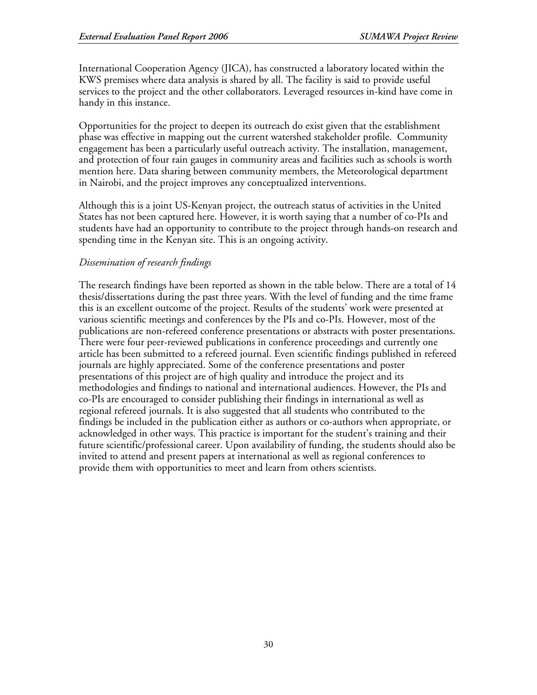International Cooperation Agency (JICA), has constructed a laboratory located within the KWS premises where data analysis is shared by all. The facility is said to provide useful services to the project and the other collaborators. Leveraged resources in-kind have come in handy in this instance.

Opportunities for the project to deepen its outreach do exist given that the establishment phase was effective in mapping out the current watershed stakeholder profile. Community engagement has been a particularly useful outreach activity. The installation, management, and protection of four rain gauges in community areas and facilities such as schools is worth mention here. Data sharing between community members, the Meteorological department in Nairobi, and the project improves any conceptualized interventions.

Although this is a joint US-Kenyan project, the outreach status of activities in the United States has not been captured here. However, it is worth saying that a number of co-PIs and students have had an opportunity to contribute to the project through hands-on research and spending time in the Kenyan site. This is an ongoing activity.

# *Dissemination of research findings*

The research findings have been reported as shown in the table below. There are a total of 14 thesis/dissertations during the past three years. With the level of funding and the time frame this is an excellent outcome of the project. Results of the students' work were presented at various scientific meetings and conferences by the PIs and co-PIs. However, most of the publications are non-refereed conference presentations or abstracts with poster presentations. There were four peer-reviewed publications in conference proceedings and currently one article has been submitted to a refereed journal. Even scientific findings published in refereed journals are highly appreciated. Some of the conference presentations and poster presentations of this project are of high quality and introduce the project and its methodologies and findings to national and international audiences. However, the PIs and co-PIs are encouraged to consider publishing their findings in international as well as regional refereed journals. It is also suggested that all students who contributed to the findings be included in the publication either as authors or co-authors when appropriate, or acknowledged in other ways. This practice is important for the student's training and their future scientific/professional career. Upon availability of funding, the students should also be invited to attend and present papers at international as well as regional conferences to provide them with opportunities to meet and learn from others scientists.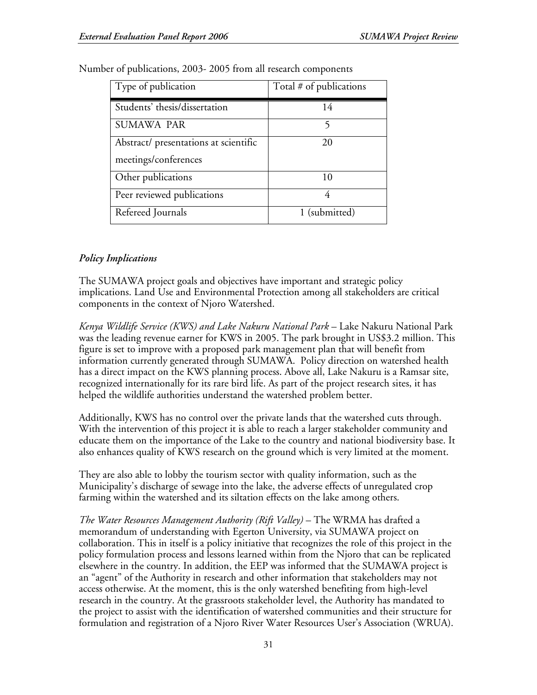| Type of publication                   | Total # of publications |
|---------------------------------------|-------------------------|
| Students' thesis/dissertation         | 14                      |
| <b>SUMAWA PAR</b>                     | 5                       |
| Abstract/ presentations at scientific | 20                      |
| meetings/conferences                  |                         |
| Other publications                    | 10                      |
| Peer reviewed publications            | 4                       |
| Refereed Journals                     | 1 (submitted)           |

Number of publications, 2003- 2005 from all research components

# *Policy Implications*

The SUMAWA project goals and objectives have important and strategic policy implications. Land Use and Environmental Protection among all stakeholders are critical components in the context of Njoro Watershed.

*Kenya Wildlife Service (KWS) and Lake Nakuru National Park* – Lake Nakuru National Park was the leading revenue earner for KWS in 2005. The park brought in US\$3.2 million. This figure is set to improve with a proposed park management plan that will benefit from information currently generated through SUMAWA. Policy direction on watershed health has a direct impact on the KWS planning process. Above all, Lake Nakuru is a Ramsar site, recognized internationally for its rare bird life. As part of the project research sites, it has helped the wildlife authorities understand the watershed problem better.

Additionally, KWS has no control over the private lands that the watershed cuts through. With the intervention of this project it is able to reach a larger stakeholder community and educate them on the importance of the Lake to the country and national biodiversity base. It also enhances quality of KWS research on the ground which is very limited at the moment.

They are also able to lobby the tourism sector with quality information, such as the Municipality's discharge of sewage into the lake, the adverse effects of unregulated crop farming within the watershed and its siltation effects on the lake among others.

*The Water Resources Management Authority (Rift Valley)* – The WRMA has drafted a memorandum of understanding with Egerton University, via SUMAWA project on collaboration. This in itself is a policy initiative that recognizes the role of this project in the policy formulation process and lessons learned within from the Njoro that can be replicated elsewhere in the country. In addition, the EEP was informed that the SUMAWA project is an "agent" of the Authority in research and other information that stakeholders may not access otherwise. At the moment, this is the only watershed benefiting from high-level research in the country. At the grassroots stakeholder level, the Authority has mandated to the project to assist with the identification of watershed communities and their structure for formulation and registration of a Njoro River Water Resources User's Association (WRUA).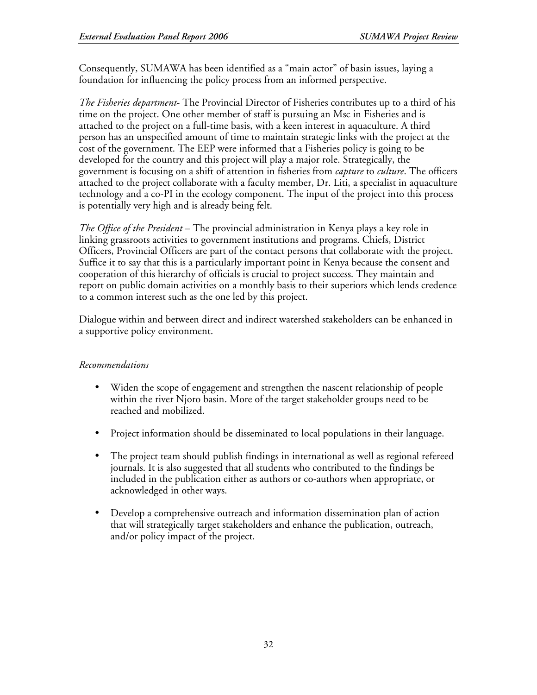Consequently, SUMAWA has been identified as a "main actor" of basin issues, laying a foundation for influencing the policy process from an informed perspective.

*The Fisheries department*- The Provincial Director of Fisheries contributes up to a third of his time on the project. One other member of staff is pursuing an Msc in Fisheries and is attached to the project on a full-time basis, with a keen interest in aquaculture. A third person has an unspecified amount of time to maintain strategic links with the project at the cost of the government. The EEP were informed that a Fisheries policy is going to be developed for the country and this project will play a major role. Strategically, the government is focusing on a shift of attention in fisheries from *capture* to *culture*. The officers attached to the project collaborate with a faculty member, Dr. Liti, a specialist in aquaculture technology and a co-PI in the ecology component. The input of the project into this process is potentially very high and is already being felt.

*The Office of the President* – The provincial administration in Kenya plays a key role in linking grassroots activities to government institutions and programs. Chiefs, District Officers, Provincial Officers are part of the contact persons that collaborate with the project. Suffice it to say that this is a particularly important point in Kenya because the consent and cooperation of this hierarchy of officials is crucial to project success. They maintain and report on public domain activities on a monthly basis to their superiors which lends credence to a common interest such as the one led by this project.

Dialogue within and between direct and indirect watershed stakeholders can be enhanced in a supportive policy environment.

# *Recommendations*

- Widen the scope of engagement and strengthen the nascent relationship of people within the river Njoro basin. More of the target stakeholder groups need to be reached and mobilized.
- Project information should be disseminated to local populations in their language.
- The project team should publish findings in international as well as regional refereed journals. It is also suggested that all students who contributed to the findings be included in the publication either as authors or co-authors when appropriate, or acknowledged in other ways.
- Develop a comprehensive outreach and information dissemination plan of action that will strategically target stakeholders and enhance the publication, outreach, and/or policy impact of the project.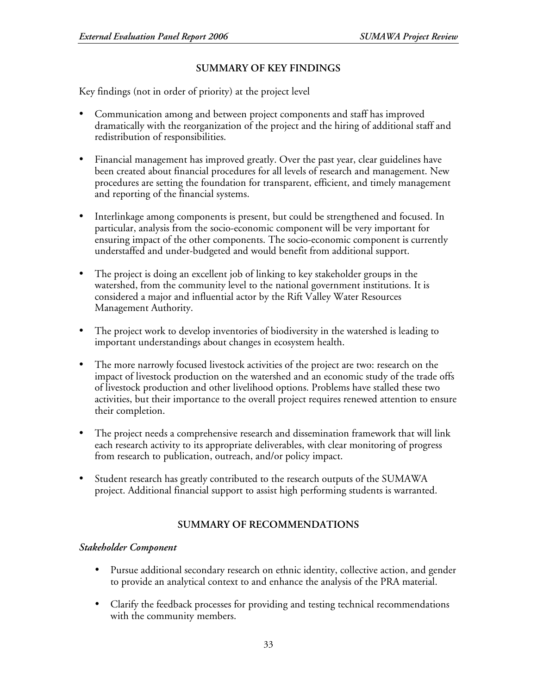# **SUMMARY OF KEY FINDINGS**

Key findings (not in order of priority) at the project level

- Communication among and between project components and staff has improved dramatically with the reorganization of the project and the hiring of additional staff and redistribution of responsibilities.
- Financial management has improved greatly. Over the past year, clear guidelines have been created about financial procedures for all levels of research and management. New procedures are setting the foundation for transparent, efficient, and timely management and reporting of the financial systems.
- Interlinkage among components is present, but could be strengthened and focused. In particular, analysis from the socio-economic component will be very important for ensuring impact of the other components. The socio-economic component is currently understaffed and under-budgeted and would benefit from additional support.
- The project is doing an excellent job of linking to key stakeholder groups in the watershed, from the community level to the national government institutions. It is considered a major and influential actor by the Rift Valley Water Resources Management Authority.
- The project work to develop inventories of biodiversity in the watershed is leading to important understandings about changes in ecosystem health.
- The more narrowly focused livestock activities of the project are two: research on the impact of livestock production on the watershed and an economic study of the trade offs of livestock production and other livelihood options. Problems have stalled these two activities, but their importance to the overall project requires renewed attention to ensure their completion.
- The project needs a comprehensive research and dissemination framework that will link each research activity to its appropriate deliverables, with clear monitoring of progress from research to publication, outreach, and/or policy impact.
- Student research has greatly contributed to the research outputs of the SUMAWA project. Additional financial support to assist high performing students is warranted.

# **SUMMARY OF RECOMMENDATIONS**

## *Stakeholder Component*

- Pursue additional secondary research on ethnic identity, collective action, and gender to provide an analytical context to and enhance the analysis of the PRA material.
- Clarify the feedback processes for providing and testing technical recommendations with the community members.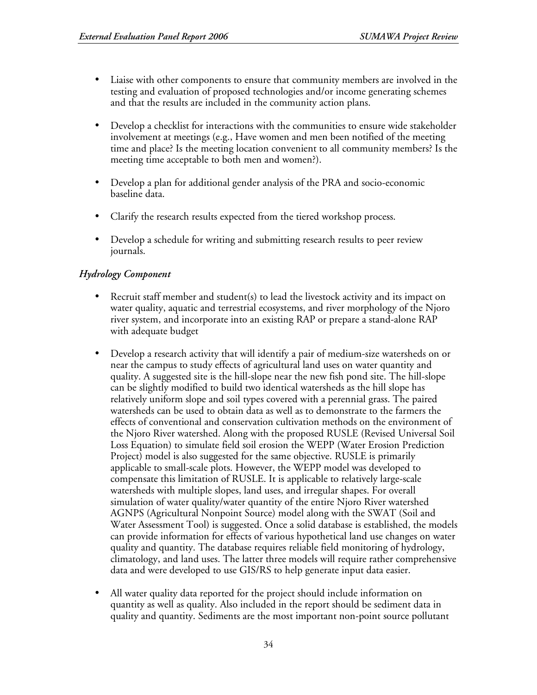- Liaise with other components to ensure that community members are involved in the testing and evaluation of proposed technologies and/or income generating schemes and that the results are included in the community action plans.
- Develop a checklist for interactions with the communities to ensure wide stakeholder involvement at meetings (e.g., Have women and men been notified of the meeting time and place? Is the meeting location convenient to all community members? Is the meeting time acceptable to both men and women?).
- Develop a plan for additional gender analysis of the PRA and socio-economic baseline data.
- Clarify the research results expected from the tiered workshop process.
- Develop a schedule for writing and submitting research results to peer review journals.

# *Hydrology Component*

- Recruit staff member and student(s) to lead the livestock activity and its impact on water quality, aquatic and terrestrial ecosystems, and river morphology of the Njoro river system, and incorporate into an existing RAP or prepare a stand-alone RAP with adequate budget
- Develop a research activity that will identify a pair of medium-size watersheds on or near the campus to study effects of agricultural land uses on water quantity and quality. A suggested site is the hill-slope near the new fish pond site. The hill-slope can be slightly modified to build two identical watersheds as the hill slope has relatively uniform slope and soil types covered with a perennial grass. The paired watersheds can be used to obtain data as well as to demonstrate to the farmers the effects of conventional and conservation cultivation methods on the environment of the Njoro River watershed. Along with the proposed RUSLE (Revised Universal Soil Loss Equation) to simulate field soil erosion the WEPP (Water Erosion Prediction Project) model is also suggested for the same objective. RUSLE is primarily applicable to small-scale plots. However, the WEPP model was developed to compensate this limitation of RUSLE. It is applicable to relatively large-scale watersheds with multiple slopes, land uses, and irregular shapes. For overall simulation of water quality/water quantity of the entire Njoro River watershed AGNPS (Agricultural Nonpoint Source) model along with the SWAT (Soil and Water Assessment Tool) is suggested. Once a solid database is established, the models can provide information for effects of various hypothetical land use changes on water quality and quantity. The database requires reliable field monitoring of hydrology, climatology, and land uses. The latter three models will require rather comprehensive data and were developed to use GIS/RS to help generate input data easier.
- All water quality data reported for the project should include information on quantity as well as quality. Also included in the report should be sediment data in quality and quantity. Sediments are the most important non-point source pollutant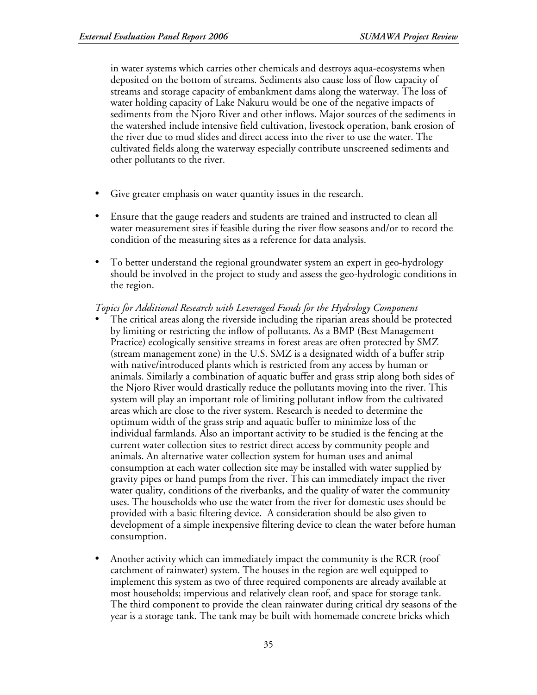in water systems which carries other chemicals and destroys aqua-ecosystems when deposited on the bottom of streams. Sediments also cause loss of flow capacity of streams and storage capacity of embankment dams along the waterway. The loss of water holding capacity of Lake Nakuru would be one of the negative impacts of sediments from the Njoro River and other inflows. Major sources of the sediments in the watershed include intensive field cultivation, livestock operation, bank erosion of the river due to mud slides and direct access into the river to use the water. The cultivated fields along the waterway especially contribute unscreened sediments and other pollutants to the river.

- Give greater emphasis on water quantity issues in the research.
- Ensure that the gauge readers and students are trained and instructed to clean all water measurement sites if feasible during the river flow seasons and/or to record the condition of the measuring sites as a reference for data analysis.
- To better understand the regional groundwater system an expert in geo-hydrology should be involved in the project to study and assess the geo-hydrologic conditions in the region.

#### *Topics for Additional Research with Leveraged Funds for the Hydrology Component*

- The critical areas along the riverside including the riparian areas should be protected by limiting or restricting the inflow of pollutants. As a BMP (Best Management Practice) ecologically sensitive streams in forest areas are often protected by SMZ (stream management zone) in the U.S. SMZ is a designated width of a buffer strip with native/introduced plants which is restricted from any access by human or animals. Similarly a combination of aquatic buffer and grass strip along both sides of the Njoro River would drastically reduce the pollutants moving into the river. This system will play an important role of limiting pollutant inflow from the cultivated areas which are close to the river system. Research is needed to determine the optimum width of the grass strip and aquatic buffer to minimize loss of the individual farmlands. Also an important activity to be studied is the fencing at the current water collection sites to restrict direct access by community people and animals. An alternative water collection system for human uses and animal consumption at each water collection site may be installed with water supplied by gravity pipes or hand pumps from the river. This can immediately impact the river water quality, conditions of the riverbanks, and the quality of water the community uses. The households who use the water from the river for domestic uses should be provided with a basic filtering device. A consideration should be also given to development of a simple inexpensive filtering device to clean the water before human consumption.
- Another activity which can immediately impact the community is the RCR (roof catchment of rainwater) system. The houses in the region are well equipped to implement this system as two of three required components are already available at most households; impervious and relatively clean roof, and space for storage tank. The third component to provide the clean rainwater during critical dry seasons of the year is a storage tank. The tank may be built with homemade concrete bricks which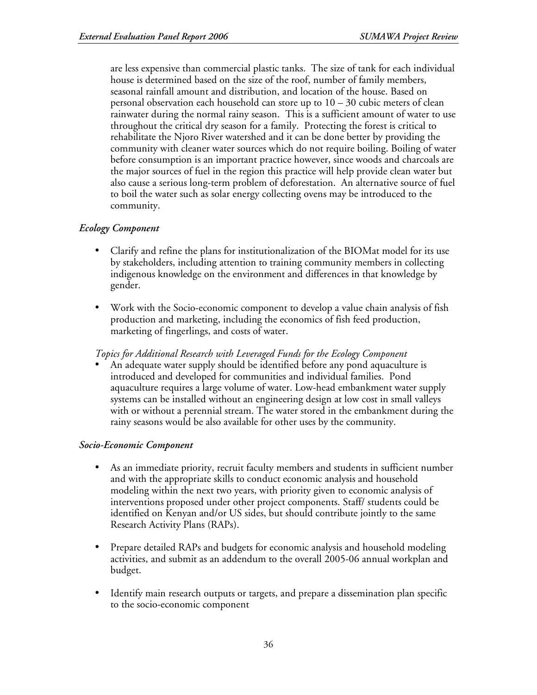are less expensive than commercial plastic tanks. The size of tank for each individual house is determined based on the size of the roof, number of family members, seasonal rainfall amount and distribution, and location of the house. Based on personal observation each household can store up to  $10 - 30$  cubic meters of clean rainwater during the normal rainy season. This is a sufficient amount of water to use throughout the critical dry season for a family. Protecting the forest is critical to rehabilitate the Njoro River watershed and it can be done better by providing the community with cleaner water sources which do not require boiling. Boiling of water before consumption is an important practice however, since woods and charcoals are the major sources of fuel in the region this practice will help provide clean water but also cause a serious long-term problem of deforestation. An alternative source of fuel to boil the water such as solar energy collecting ovens may be introduced to the community.

# *Ecology Component*

- Clarify and refine the plans for institutionalization of the BIOMat model for its use by stakeholders, including attention to training community members in collecting indigenous knowledge on the environment and differences in that knowledge by gender.
- Work with the Socio-economic component to develop a value chain analysis of fish production and marketing, including the economics of fish feed production, marketing of fingerlings, and costs of water.

*Topics for Additional Research with Leveraged Funds for the Ecology Component*

• An adequate water supply should be identified before any pond aquaculture is introduced and developed for communities and individual families. Pond aquaculture requires a large volume of water. Low-head embankment water supply systems can be installed without an engineering design at low cost in small valleys with or without a perennial stream. The water stored in the embankment during the rainy seasons would be also available for other uses by the community.

## *Socio-Economic Component*

- As an immediate priority, recruit faculty members and students in sufficient number and with the appropriate skills to conduct economic analysis and household modeling within the next two years, with priority given to economic analysis of interventions proposed under other project components. Staff/ students could be identified on Kenyan and/or US sides, but should contribute jointly to the same Research Activity Plans (RAPs).
- Prepare detailed RAPs and budgets for economic analysis and household modeling activities, and submit as an addendum to the overall 2005-06 annual workplan and budget.
- Identify main research outputs or targets, and prepare a dissemination plan specific to the socio-economic component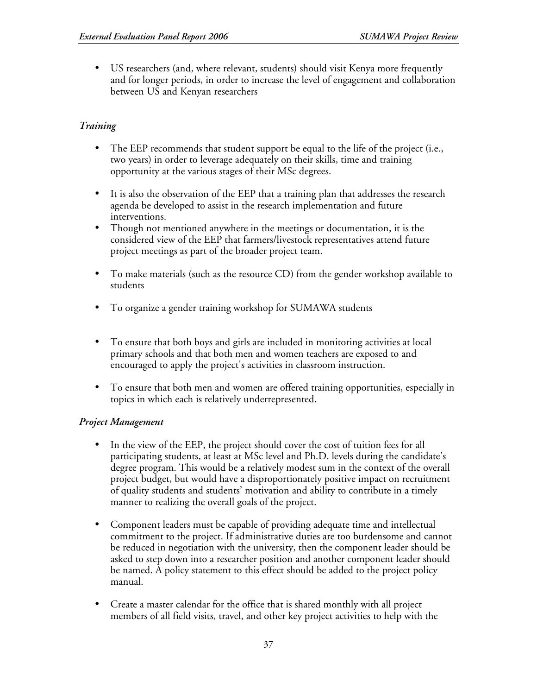• US researchers (and, where relevant, students) should visit Kenya more frequently and for longer periods, in order to increase the level of engagement and collaboration between US and Kenyan researchers

# *Training*

- The EEP recommends that student support be equal to the life of the project (i.e., two years) in order to leverage adequately on their skills, time and training opportunity at the various stages of their MSc degrees.
- It is also the observation of the EEP that a training plan that addresses the research agenda be developed to assist in the research implementation and future interventions.
- Though not mentioned anywhere in the meetings or documentation, it is the considered view of the EEP that farmers/livestock representatives attend future project meetings as part of the broader project team.
- To make materials (such as the resource CD) from the gender workshop available to students
- To organize a gender training workshop for SUMAWA students
- To ensure that both boys and girls are included in monitoring activities at local primary schools and that both men and women teachers are exposed to and encouraged to apply the project's activities in classroom instruction.
- To ensure that both men and women are offered training opportunities, especially in topics in which each is relatively underrepresented.

# *Project Management*

- In the view of the EEP, the project should cover the cost of tuition fees for all participating students, at least at MSc level and Ph.D. levels during the candidate's degree program. This would be a relatively modest sum in the context of the overall project budget, but would have a disproportionately positive impact on recruitment of quality students and students' motivation and ability to contribute in a timely manner to realizing the overall goals of the project.
- Component leaders must be capable of providing adequate time and intellectual commitment to the project. If administrative duties are too burdensome and cannot be reduced in negotiation with the university, then the component leader should be asked to step down into a researcher position and another component leader should be named. A policy statement to this effect should be added to the project policy manual.
- Create a master calendar for the office that is shared monthly with all project members of all field visits, travel, and other key project activities to help with the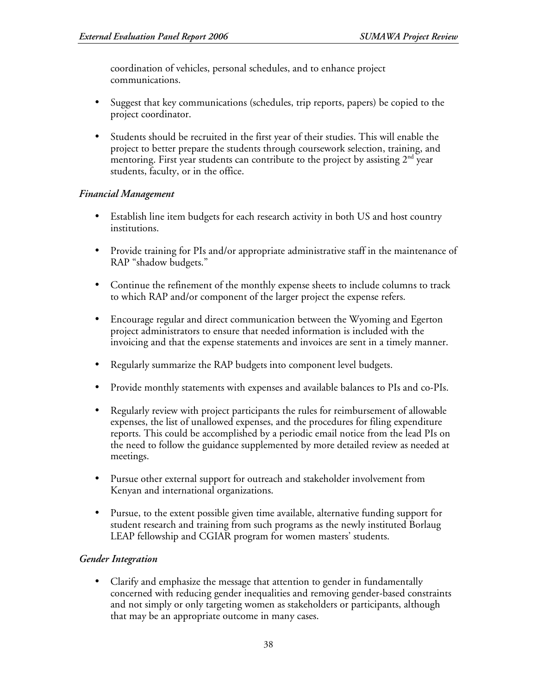coordination of vehicles, personal schedules, and to enhance project communications.

- Suggest that key communications (schedules, trip reports, papers) be copied to the project coordinator.
- Students should be recruited in the first year of their studies. This will enable the project to better prepare the students through coursework selection, training, and mentoring. First year students can contribute to the project by assisting  $2^{\text{nd}}$  year students, faculty, or in the office.

# *Financial Management*

- Establish line item budgets for each research activity in both US and host country institutions.
- Provide training for PIs and/or appropriate administrative staff in the maintenance of RAP "shadow budgets."
- Continue the refinement of the monthly expense sheets to include columns to track to which RAP and/or component of the larger project the expense refers.
- Encourage regular and direct communication between the Wyoming and Egerton project administrators to ensure that needed information is included with the invoicing and that the expense statements and invoices are sent in a timely manner.
- Regularly summarize the RAP budgets into component level budgets.
- Provide monthly statements with expenses and available balances to PIs and co-PIs.
- Regularly review with project participants the rules for reimbursement of allowable expenses, the list of unallowed expenses, and the procedures for filing expenditure reports. This could be accomplished by a periodic email notice from the lead PIs on the need to follow the guidance supplemented by more detailed review as needed at meetings.
- Pursue other external support for outreach and stakeholder involvement from Kenyan and international organizations.
- Pursue, to the extent possible given time available, alternative funding support for student research and training from such programs as the newly instituted Borlaug LEAP fellowship and CGIAR program for women masters' students.

# *Gender Integration*

• Clarify and emphasize the message that attention to gender in fundamentally concerned with reducing gender inequalities and removing gender-based constraints and not simply or only targeting women as stakeholders or participants, although that may be an appropriate outcome in many cases.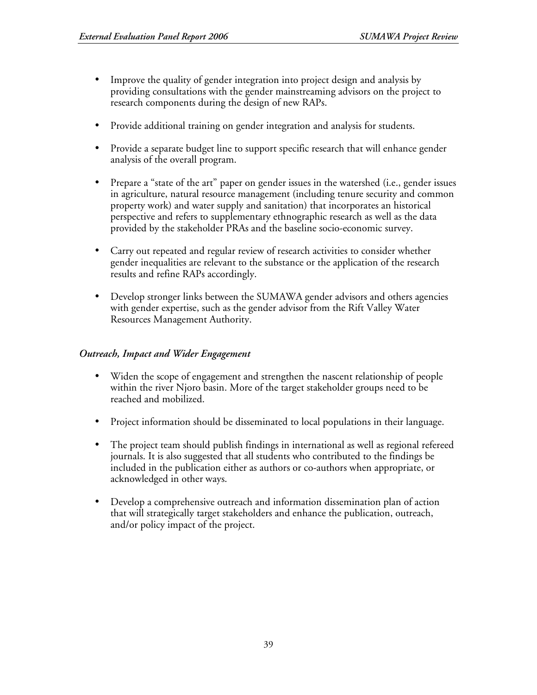- Improve the quality of gender integration into project design and analysis by providing consultations with the gender mainstreaming advisors on the project to research components during the design of new RAPs.
- Provide additional training on gender integration and analysis for students.
- Provide a separate budget line to support specific research that will enhance gender analysis of the overall program.
- Prepare a "state of the art" paper on gender issues in the watershed (i.e., gender issues in agriculture, natural resource management (including tenure security and common property work) and water supply and sanitation) that incorporates an historical perspective and refers to supplementary ethnographic research as well as the data provided by the stakeholder PRAs and the baseline socio-economic survey.
- Carry out repeated and regular review of research activities to consider whether gender inequalities are relevant to the substance or the application of the research results and refine RAPs accordingly.
- Develop stronger links between the SUMAWA gender advisors and others agencies with gender expertise, such as the gender advisor from the Rift Valley Water Resources Management Authority.

# *Outreach, Impact and Wider Engagement*

- Widen the scope of engagement and strengthen the nascent relationship of people within the river Njoro basin. More of the target stakeholder groups need to be reached and mobilized.
- Project information should be disseminated to local populations in their language.
- The project team should publish findings in international as well as regional refereed journals. It is also suggested that all students who contributed to the findings be included in the publication either as authors or co-authors when appropriate, or acknowledged in other ways.
- Develop a comprehensive outreach and information dissemination plan of action that will strategically target stakeholders and enhance the publication, outreach, and/or policy impact of the project.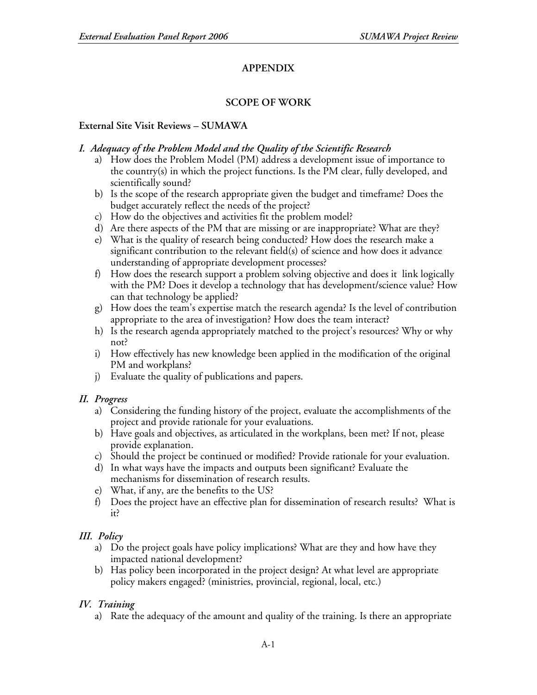# **APPENDIX**

# **SCOPE OF WORK**

## **External Site Visit Reviews – SUMAWA**

## *I. Adequacy of the Problem Model and the Quality of the Scientific Research*

- a) How does the Problem Model (PM) address a development issue of importance to the country(s) in which the project functions. Is the PM clear, fully developed, and scientifically sound?
- b) Is the scope of the research appropriate given the budget and timeframe? Does the budget accurately reflect the needs of the project?
- c) How do the objectives and activities fit the problem model?
- d) Are there aspects of the PM that are missing or are inappropriate? What are they?
- e) What is the quality of research being conducted? How does the research make a significant contribution to the relevant field(s) of science and how does it advance understanding of appropriate development processes?
- f) How does the research support a problem solving objective and does it link logically with the PM? Does it develop a technology that has development/science value? How can that technology be applied?
- g) How does the team's expertise match the research agenda? Is the level of contribution appropriate to the area of investigation? How does the team interact?
- h) Is the research agenda appropriately matched to the project's resources? Why or why not?
- i) How effectively has new knowledge been applied in the modification of the original PM and workplans?
- j) Evaluate the quality of publications and papers.

# *II. Progress*

- a) Considering the funding history of the project, evaluate the accomplishments of the project and provide rationale for your evaluations.
- b) Have goals and objectives, as articulated in the workplans, been met? If not, please provide explanation.
- c) Should the project be continued or modified? Provide rationale for your evaluation.
- d) In what ways have the impacts and outputs been significant? Evaluate the mechanisms for dissemination of research results.
- e) What, if any, are the benefits to the US?
- f) Does the project have an effective plan for dissemination of research results? What is it?

# *III. Policy*

- a) Do the project goals have policy implications? What are they and how have they impacted national development?
- b) Has policy been incorporated in the project design? At what level are appropriate policy makers engaged? (ministries, provincial, regional, local, etc.)

# *IV. Training*

a) Rate the adequacy of the amount and quality of the training. Is there an appropriate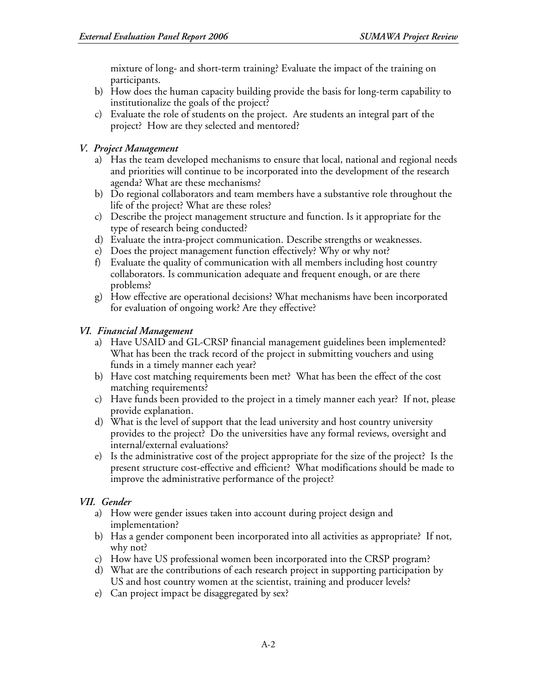mixture of long- and short-term training? Evaluate the impact of the training on participants.

- b) How does the human capacity building provide the basis for long-term capability to institutionalize the goals of the project?
- c) Evaluate the role of students on the project. Are students an integral part of the project? How are they selected and mentored?

# *V. Project Management*

- a) Has the team developed mechanisms to ensure that local, national and regional needs and priorities will continue to be incorporated into the development of the research agenda? What are these mechanisms?
- b) Do regional collaborators and team members have a substantive role throughout the life of the project? What are these roles?
- c) Describe the project management structure and function. Is it appropriate for the type of research being conducted?
- d) Evaluate the intra-project communication. Describe strengths or weaknesses.
- e) Does the project management function effectively? Why or why not?
- f) Evaluate the quality of communication with all members including host country collaborators. Is communication adequate and frequent enough, or are there problems?
- g) How effective are operational decisions? What mechanisms have been incorporated for evaluation of ongoing work? Are they effective?

# *VI. Financial Management*

- a) Have USAID and GL-CRSP financial management guidelines been implemented? What has been the track record of the project in submitting vouchers and using funds in a timely manner each year?
- b) Have cost matching requirements been met? What has been the effect of the cost matching requirements?
- c) Have funds been provided to the project in a timely manner each year? If not, please provide explanation.
- d) What is the level of support that the lead university and host country university provides to the project? Do the universities have any formal reviews, oversight and internal/external evaluations?
- e) Is the administrative cost of the project appropriate for the size of the project? Is the present structure cost-effective and efficient? What modifications should be made to improve the administrative performance of the project?

# *VII. Gender*

- a) How were gender issues taken into account during project design and implementation?
- b) Has a gender component been incorporated into all activities as appropriate? If not, why not?
- c) How have US professional women been incorporated into the CRSP program?
- d) What are the contributions of each research project in supporting participation by US and host country women at the scientist, training and producer levels?
- e) Can project impact be disaggregated by sex?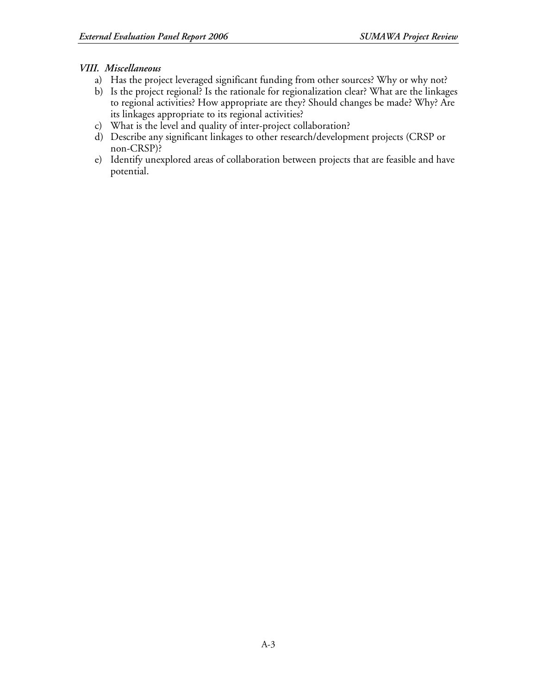# *VIII. Miscellaneous*

- a) Has the project leveraged significant funding from other sources? Why or why not?
- b) Is the project regional? Is the rationale for regionalization clear? What are the linkages to regional activities? How appropriate are they? Should changes be made? Why? Are its linkages appropriate to its regional activities?
- c) What is the level and quality of inter-project collaboration?
- d) Describe any significant linkages to other research/development projects (CRSP or non-CRSP)?
- e) Identify unexplored areas of collaboration between projects that are feasible and have potential.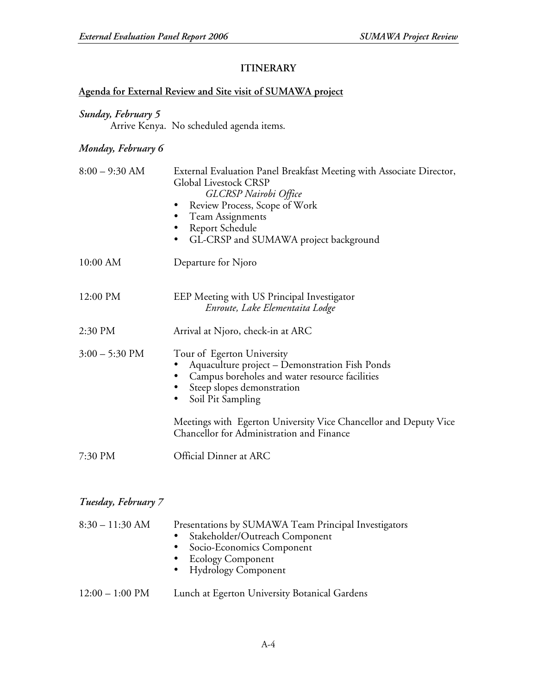# **ITINERARY**

# **Agenda for External Review and Site visit of SUMAWA project**

# *Sunday, February 5*

Arrive Kenya. No scheduled agenda items.

# *Monday, February 6*

| $8:00 - 9:30$ AM | External Evaluation Panel Breakfast Meeting with Associate Director,<br><b>Global Livestock CRSP</b><br><b>GLCRSP</b> Nairobi Office<br>Review Process, Scope of Work<br>Team Assignments<br>Report Schedule<br>GL-CRSP and SUMAWA project background |
|------------------|-------------------------------------------------------------------------------------------------------------------------------------------------------------------------------------------------------------------------------------------------------|
| 10:00 AM         | Departure for Njoro                                                                                                                                                                                                                                   |
| 12:00 PM         | EEP Meeting with US Principal Investigator<br>Enroute, Lake Elementaita Lodge                                                                                                                                                                         |
| 2:30 PM          | Arrival at Njoro, check-in at ARC                                                                                                                                                                                                                     |
| $3:00 - 5:30$ PM | Tour of Egerton University<br>Aquaculture project - Demonstration Fish Ponds<br>Campus boreholes and water resource facilities<br>Steep slopes demonstration<br>Soil Pit Sampling<br>٠                                                                |
|                  | Meetings with Egerton University Vice Chancellor and Deputy Vice<br>Chancellor for Administration and Finance                                                                                                                                         |
| 7:30 PM          | Official Dinner at ARC                                                                                                                                                                                                                                |

# *Tuesday, February 7*

| $8:30 - 11:30$ AM         | Presentations by SUMAWA Team Principal Investigators<br>Stakeholder/Outreach Component<br>$\bullet$<br>• Socio-Economics Component<br>• Ecology Component<br>• Hydrology Component |
|---------------------------|------------------------------------------------------------------------------------------------------------------------------------------------------------------------------------|
| $12:00 - 1:00 \text{ PM}$ | Lunch at Egerton University Botanical Gardens                                                                                                                                      |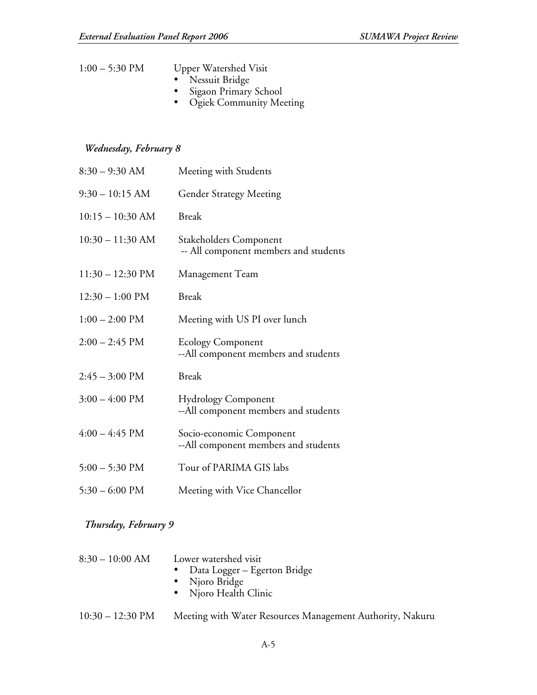| $1:00 - 5:30$ PM | <b>Upper Watershed Visit</b> |
|------------------|------------------------------|
|                  | • Nessuit Bridge             |
|                  | • Sigaon Primary School      |
|                  | • Ogiek Community Meeting    |

# *Wednesday, February 8*

| $8:30 - 9:30$ AM           | Meeting with Students                                              |
|----------------------------|--------------------------------------------------------------------|
| $9:30 - 10:15$ AM          | <b>Gender Strategy Meeting</b>                                     |
| $10:15 - 10:30$ AM         | <b>Break</b>                                                       |
| $10:30 - 11:30$ AM         | Stakeholders Component<br>-- All component members and students    |
| $11:30 - 12:30 \text{ PM}$ | Management Team                                                    |
| $12:30 - 1:00$ PM          | <b>Break</b>                                                       |
| $1:00 - 2:00$ PM           | Meeting with US PI over lunch                                      |
| $2:00 - 2:45$ PM           | <b>Ecology Component</b><br>--All component members and students   |
| $2:45 - 3:00 \text{ PM}$   | <b>Break</b>                                                       |
| $3:00 - 4:00$ PM           | <b>Hydrology Component</b><br>--All component members and students |
| $4:00 - 4:45$ PM           | Socio-economic Component<br>--All component members and students   |
| $5:00 - 5:30$ PM           | Tour of PARIMA GIS labs                                            |
| $5:30 - 6:00$ PM           | Meeting with Vice Chancellor                                       |

# *Thursday, February 9*

| $8:30-10:00$ AM | Lower watershed visit          |
|-----------------|--------------------------------|
|                 | • Data Logger – Egerton Bridge |
|                 | • Njoro Bridge                 |
|                 | • Njoro Health Clinic          |
|                 |                                |

10:30 – 12:30 PM Meeting with Water Resources Management Authority, Nakuru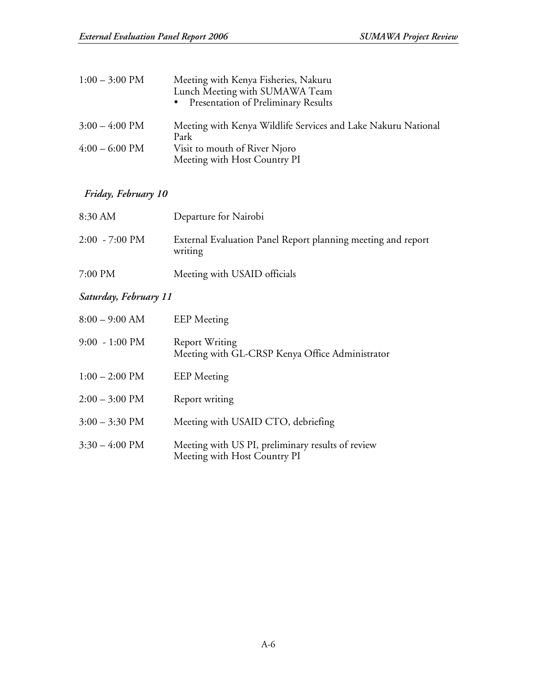| $1:00 - 3:00 \text{ PM}$ | Meeting with Kenya Fisheries, Nakuru<br>Lunch Meeting with SUMAWA Team<br>Presentation of Preliminary Results<br>$\bullet$ |
|--------------------------|----------------------------------------------------------------------------------------------------------------------------|
| $3:00 - 4:00 \text{ PM}$ | Meeting with Kenya Wildlife Services and Lake Nakuru National                                                              |
|                          | Park                                                                                                                       |
| $4:00 - 6:00 \text{ PM}$ | Visit to mouth of River Njoro                                                                                              |
|                          | Meeting with Host Country PI                                                                                               |

# *Friday, February 10*

| 8:30 AM                  | Departure for Nairobi                                                   |
|--------------------------|-------------------------------------------------------------------------|
| $2:00 - 7:00 \text{ PM}$ | External Evaluation Panel Report planning meeting and report<br>writing |
| 7:00 PM                  | Meeting with USAID officials                                            |

# *Saturday, February 11*

| $8:00 - 9:00$ AM         | <b>EEP</b> Meeting                                                                |
|--------------------------|-----------------------------------------------------------------------------------|
| $9:00 - 1:00 \text{ PM}$ | <b>Report Writing</b><br>Meeting with GL-CRSP Kenya Office Administrator          |
| $1:00 - 2:00$ PM         | <b>EEP</b> Meeting                                                                |
| $2:00 - 3:00$ PM         | Report writing                                                                    |
| $3:00 - 3:30 \text{ PM}$ | Meeting with USAID CTO, debriefing                                                |
| $3:30 - 4:00 \text{ PM}$ | Meeting with US PI, preliminary results of review<br>Meeting with Host Country PI |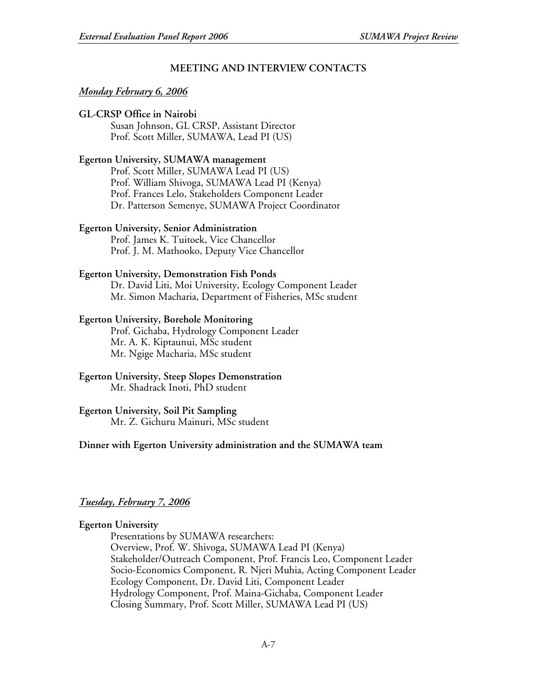## **MEETING AND INTERVIEW CONTACTS**

#### *Monday February 6, 2006*

#### **GL-CRSP Office in Nairobi**

Susan Johnson, GL CRSP, Assistant Director Prof. Scott Miller, SUMAWA, Lead PI (US)

#### **Egerton University, SUMAWA management**

Prof. Scott Miller, SUMAWA Lead PI (US) Prof. William Shivoga, SUMAWA Lead PI (Kenya) Prof. Frances Lelo, Stakeholders Component Leader Dr. Patterson Semenye, SUMAWA Project Coordinator

#### **Egerton University, Senior Administration**

Prof. James K. Tuitoek, Vice Chancellor Prof. J. M. Mathooko, Deputy Vice Chancellor

#### **Egerton University, Demonstration Fish Ponds**

Dr. David Liti, Moi University, Ecology Component Leader Mr. Simon Macharia, Department of Fisheries, MSc student

#### **Egerton University, Borehole Monitoring**

Prof. Gichaba, Hydrology Component Leader Mr. A. K. Kiptaunui, MSc student Mr. Ngige Macharia, MSc student

#### **Egerton University, Steep Slopes Demonstration** Mr. Shadrack Inoti, PhD student

## **Egerton University, Soil Pit Sampling**

Mr. Z. Gichuru Mainuri, MSc student

#### **Dinner with Egerton University administration and the SUMAWA team**

## *Tuesday, February 7, 2006*

#### **Egerton University**

Presentations by SUMAWA researchers: Overview, Prof. W. Shivoga, SUMAWA Lead PI (Kenya) Stakeholder/Outreach Component, Prof. Francis Leo, Component Leader Socio-Economics Component, R. Njeri Muhia, Acting Component Leader Ecology Component, Dr. David Liti, Component Leader Hydrology Component, Prof. Maina-Gichaba, Component Leader Closing Summary, Prof. Scott Miller, SUMAWA Lead PI (US)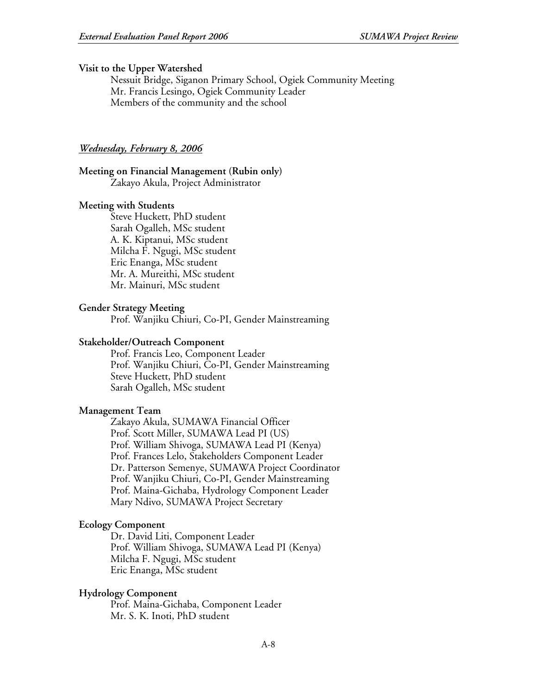#### **Visit to the Upper Watershed**

Nessuit Bridge, Siganon Primary School, Ogiek Community Meeting Mr. Francis Lesingo, Ogiek Community Leader Members of the community and the school

#### *Wednesday, February 8, 2006*

#### **Meeting on Financial Management (Rubin only)** Zakayo Akula, Project Administrator

#### **Meeting with Students**

Steve Huckett, PhD student Sarah Ogalleh, MSc student A. K. Kiptanui, MSc student Milcha F. Ngugi, MSc student Eric Enanga, MSc student Mr. A. Mureithi, MSc student Mr. Mainuri, MSc student

#### **Gender Strategy Meeting**

Prof. Wanjiku Chiuri, Co-PI, Gender Mainstreaming

#### **Stakeholder/Outreach Component**

Prof. Francis Leo, Component Leader Prof. Wanjiku Chiuri, Co-PI, Gender Mainstreaming Steve Huckett, PhD student Sarah Ogalleh, MSc student

#### **Management Team**

Zakayo Akula, SUMAWA Financial Officer Prof. Scott Miller, SUMAWA Lead PI (US) Prof. William Shivoga, SUMAWA Lead PI (Kenya) Prof. Frances Lelo, Stakeholders Component Leader Dr. Patterson Semenye, SUMAWA Project Coordinator Prof. Wanjiku Chiuri, Co-PI, Gender Mainstreaming Prof. Maina-Gichaba, Hydrology Component Leader Mary Ndivo, SUMAWA Project Secretary

#### **Ecology Component**

Dr. David Liti, Component Leader Prof. William Shivoga, SUMAWA Lead PI (Kenya) Milcha F. Ngugi, MSc student Eric Enanga, MSc student

#### **Hydrology Component**

Prof. Maina-Gichaba, Component Leader Mr. S. K. Inoti, PhD student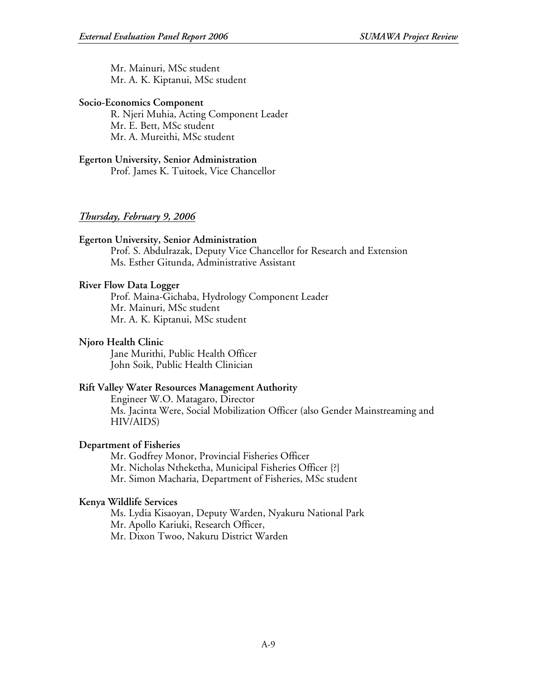Mr. Mainuri, MSc student Mr. A. K. Kiptanui, MSc student

#### **Socio-Economics Component**

R. Njeri Muhia, Acting Component Leader Mr. E. Bett, MSc student Mr. A. Mureithi, MSc student

#### **Egerton University, Senior Administration**

Prof. James K. Tuitoek, Vice Chancellor

## *Thursday, February 9, 2006*

## **Egerton University, Senior Administration**

Prof. S. Abdulrazak, Deputy Vice Chancellor for Research and Extension Ms. Esther Gitunda, Administrative Assistant

#### **River Flow Data Logger**

Prof. Maina-Gichaba, Hydrology Component Leader Mr. Mainuri, MSc student Mr. A. K. Kiptanui, MSc student

#### **Njoro Health Clinic**

Jane Murithi, Public Health Officer John Soik, Public Health Clinician

## **Rift Valley Water Resources Management Authority**

Engineer W.O. Matagaro, Director Ms. Jacinta Were, Social Mobilization Officer (also Gender Mainstreaming and HIV/AIDS)

## **Department of Fisheries**

Mr. Godfrey Monor, Provincial Fisheries Officer Mr. Nicholas Ntheketha, Municipal Fisheries Officer {?} Mr. Simon Macharia, Department of Fisheries, MSc student

## **Kenya Wildlife Services**

Ms. Lydia Kisaoyan, Deputy Warden, Nyakuru National Park Mr. Apollo Kariuki, Research Officer, Mr. Dixon Twoo, Nakuru District Warden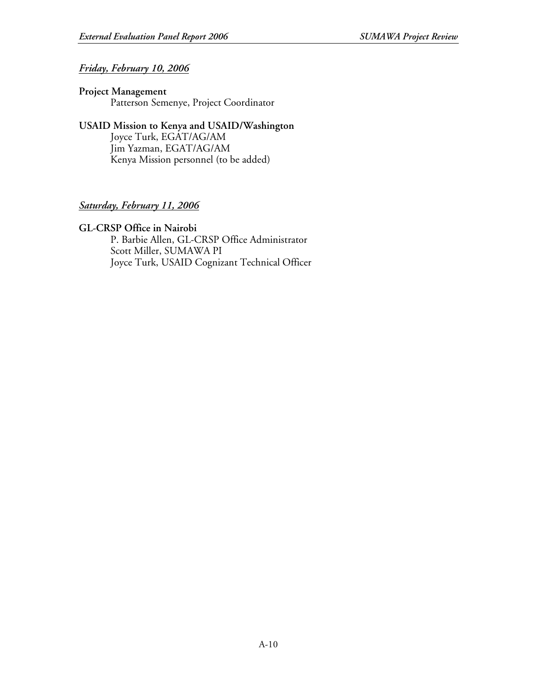# *Friday, February 10, 2006*

#### **Project Management** Patterson Semenye, Project Coordinator

# **USAID Mission to Kenya and USAID/Washington** Joyce Turk, EGAT/AG/AM

Jim Yazman, EGAT/AG/AM Kenya Mission personnel (to be added)

# *Saturday, February 11, 2006*

## **GL-CRSP Office in Nairobi**

P. Barbie Allen, GL-CRSP Office Administrator Scott Miller, SUMAWA PI Joyce Turk, USAID Cognizant Technical Officer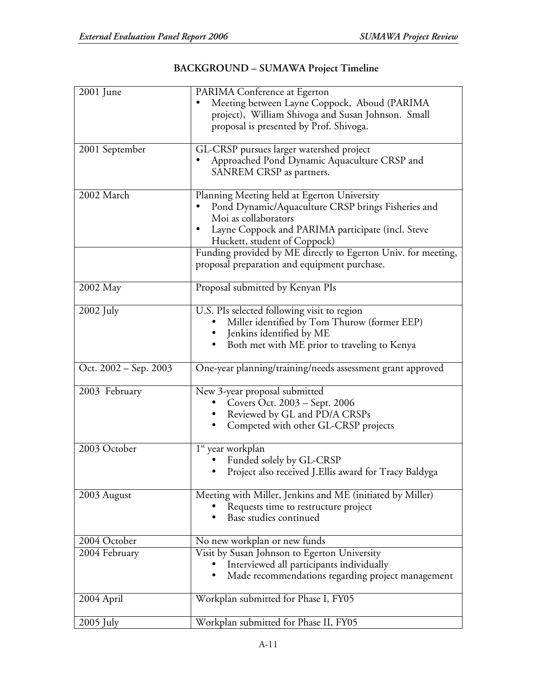| 2001 June             | PARIMA Conference at Egerton<br>Meeting between Layne Coppock, Aboud (PARIMA<br>project), William Shivoga and Susan Johnson. Small<br>proposal is presented by Prof. Shivoga.                                                                                                                                                   |
|-----------------------|---------------------------------------------------------------------------------------------------------------------------------------------------------------------------------------------------------------------------------------------------------------------------------------------------------------------------------|
| 2001 September        | GL-CRSP pursues larger watershed project<br>Approached Pond Dynamic Aquaculture CRSP and<br>SANREM CRSP as partners.                                                                                                                                                                                                            |
| 2002 March            | Planning Meeting held at Egerton University<br>Pond Dynamic/Aquaculture CRSP brings Fisheries and<br>Moi as collaborators<br>Layne Coppock and PARIMA participate (incl. Steve<br>Huckett, student of Coppock)<br>Funding provided by ME directly to Egerton Univ. for meeting,<br>proposal preparation and equipment purchase. |
| 2002 May              | Proposal submitted by Kenyan PIs                                                                                                                                                                                                                                                                                                |
| $2002$ July           | U.S. PIs selected following visit to region<br>Miller identified by Tom Thurow (former EEP)<br>Jenkins identified by ME<br>Both met with ME prior to traveling to Kenya                                                                                                                                                         |
| Oct. 2002 – Sep. 2003 | One-year planning/training/needs assessment grant approved                                                                                                                                                                                                                                                                      |
| 2003 February         | New 3-year proposal submitted<br>Covers Oct. 2003 - Sept. 2006<br>Reviewed by GL and PD/A CRSPs<br>Competed with other GL-CRSP projects                                                                                                                                                                                         |
| 2003 October          | 1 <sup>st</sup> year workplan<br>Funded solely by GL-CRSP<br>Project also received J. Ellis award for Tracy Baldyga                                                                                                                                                                                                             |
| 2003 August           | Meeting with Miller, Jenkins and ME (initiated by Miller)<br>Requests time to restructure project<br>Base studies continued                                                                                                                                                                                                     |
| 2004 October          | No new workplan or new funds                                                                                                                                                                                                                                                                                                    |
| 2004 February         | Visit by Susan Johnson to Egerton University<br>Interviewed all participants individually<br>Made recommendations regarding project management                                                                                                                                                                                  |
| 2004 April            | Workplan submitted for Phase I, FY05                                                                                                                                                                                                                                                                                            |
| $2005$ July           | Workplan submitted for Phase II, FY05                                                                                                                                                                                                                                                                                           |

# **BACKGROUND – SUMAWA Project Timeline**